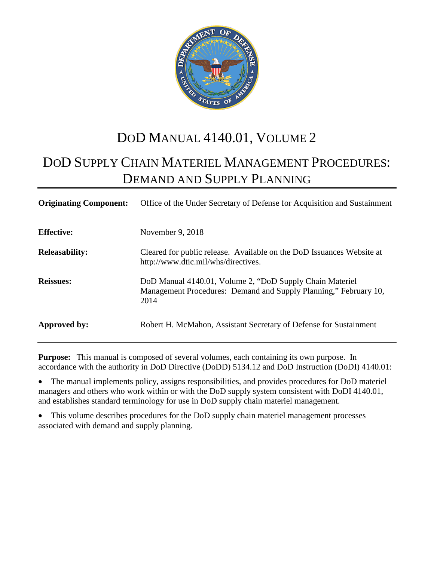

# DOD MANUAL 4140.01, VOLUME 2

# DOD SUPPLY CHAIN MATERIEL MANAGEMENT PROCEDURES: DEMAND AND SUPPLY PLANNING

| <b>Originating Component:</b> | Office of the Under Secretary of Defense for Acquisition and Sustainment                                                             |
|-------------------------------|--------------------------------------------------------------------------------------------------------------------------------------|
| <b>Effective:</b>             | November 9, 2018                                                                                                                     |
| <b>Releasability:</b>         | Cleared for public release. Available on the DoD Issuances Website at<br>http://www.dtic.mil/whs/directives.                         |
| <b>Reissues:</b>              | DoD Manual 4140.01, Volume 2, "DoD Supply Chain Materiel<br>Management Procedures: Demand and Supply Planning," February 10,<br>2014 |
| Approved by:                  | Robert H. McMahon, Assistant Secretary of Defense for Sustainment                                                                    |

**Purpose:** This manual is composed of several volumes, each containing its own purpose. In accordance with the authority in DoD Directive (DoDD) 5134.12 and DoD Instruction (DoDI) 4140.01:

• The manual implements policy, assigns responsibilities, and provides procedures for DoD materiel managers and others who work within or with the DoD supply system consistent with DoDI 4140.01, and establishes standard terminology for use in DoD supply chain materiel management.

This volume describes procedures for the DoD supply chain materiel management processes associated with demand and supply planning.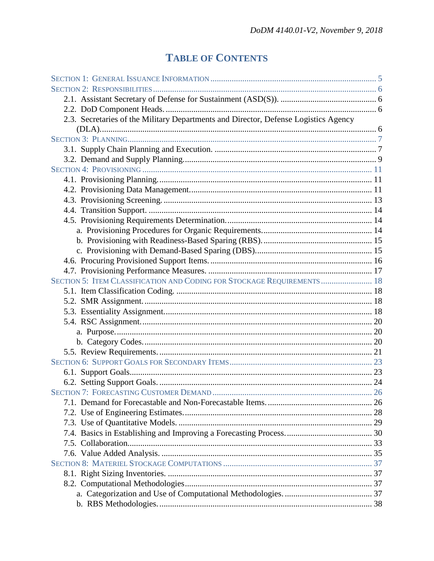# **TABLE OF CONTENTS**

| 2.3. Secretaries of the Military Departments and Director, Defense Logistics Agency |  |
|-------------------------------------------------------------------------------------|--|
|                                                                                     |  |
|                                                                                     |  |
|                                                                                     |  |
|                                                                                     |  |
|                                                                                     |  |
|                                                                                     |  |
|                                                                                     |  |
|                                                                                     |  |
|                                                                                     |  |
|                                                                                     |  |
|                                                                                     |  |
|                                                                                     |  |
|                                                                                     |  |
|                                                                                     |  |
|                                                                                     |  |
| SECTION 5: ITEM CLASSIFICATION AND CODING FOR STOCKAGE REQUIREMENTS  18             |  |
|                                                                                     |  |
|                                                                                     |  |
|                                                                                     |  |
|                                                                                     |  |
|                                                                                     |  |
|                                                                                     |  |
|                                                                                     |  |
|                                                                                     |  |
|                                                                                     |  |
|                                                                                     |  |
|                                                                                     |  |
|                                                                                     |  |
|                                                                                     |  |
|                                                                                     |  |
|                                                                                     |  |
|                                                                                     |  |
|                                                                                     |  |
|                                                                                     |  |
|                                                                                     |  |
|                                                                                     |  |
|                                                                                     |  |
|                                                                                     |  |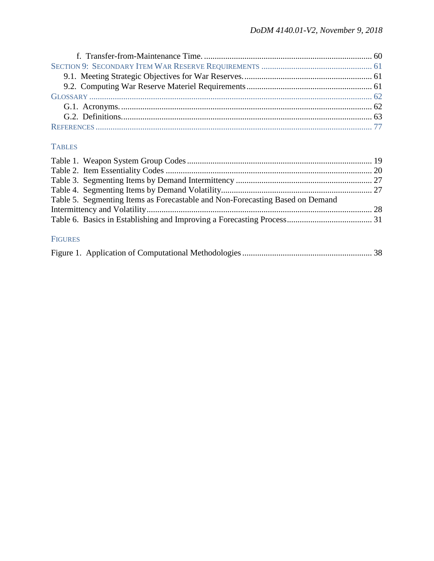# **TABLES**

| Table 5. Segmenting Items as Forecastable and Non-Forecasting Based on Demand |  |
|-------------------------------------------------------------------------------|--|
|                                                                               |  |
|                                                                               |  |
|                                                                               |  |

# FIGURES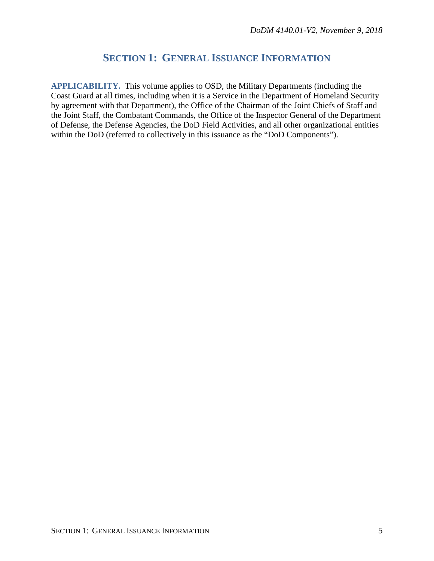# **SECTION 1: GENERAL ISSUANCE INFORMATION**

<span id="page-4-0"></span>**APPLICABILITY.** This volume applies to OSD, the Military Departments (including the Coast Guard at all times, including when it is a Service in the Department of Homeland Security by agreement with that Department), the Office of the Chairman of the Joint Chiefs of Staff and the Joint Staff, the Combatant Commands, the Office of the Inspector General of the Department of Defense, the Defense Agencies, the DoD Field Activities, and all other organizational entities within the DoD (referred to collectively in this issuance as the "DoD Components").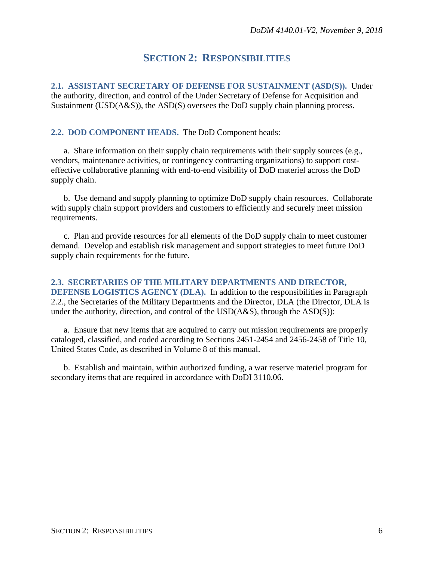# **SECTION 2: RESPONSIBILITIES**

<span id="page-5-1"></span><span id="page-5-0"></span>**2.1. ASSISTANT SECRETARY OF DEFENSE FOR SUSTAINMENT (ASD(S)).** Under the authority, direction, and control of the Under Secretary of Defense for Acquisition and Sustainment (USD(A&S)), the ASD(S) oversees the DoD supply chain planning process.

## <span id="page-5-2"></span>**2.2. DOD COMPONENT HEADS.** The DoD Component heads:

a. Share information on their supply chain requirements with their supply sources (e.g., vendors, maintenance activities, or contingency contracting organizations) to support costeffective collaborative planning with end-to-end visibility of DoD materiel across the DoD supply chain.

b. Use demand and supply planning to optimize DoD supply chain resources. Collaborate with supply chain support providers and customers to efficiently and securely meet mission requirements.

c. Plan and provide resources for all elements of the DoD supply chain to meet customer demand. Develop and establish risk management and support strategies to meet future DoD supply chain requirements for the future.

<span id="page-5-3"></span>**2.3. SECRETARIES OF THE MILITARY DEPARTMENTS AND DIRECTOR, DEFENSE LOGISTICS AGENCY (DLA).** In addition to the responsibilities in Paragraph 2.2., the Secretaries of the Military Departments and the Director, DLA (the Director, DLA is under the authority, direction, and control of the USD(A&S), through the ASD(S)):

a. Ensure that new items that are acquired to carry out mission requirements are properly cataloged, classified, and coded according to Sections 2451-2454 and 2456-2458 of Title 10, United States Code, as described in Volume 8 of this manual.

b. Establish and maintain, within authorized funding, a war reserve materiel program for secondary items that are required in accordance with DoDI 3110.06.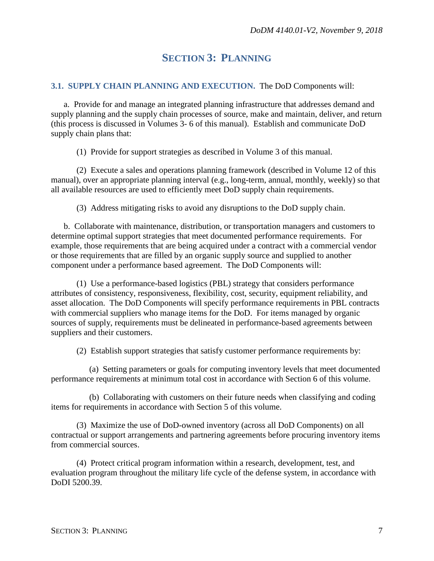# **SECTION 3: PLANNING**

### <span id="page-6-1"></span><span id="page-6-0"></span>**3.1. SUPPLY CHAIN PLANNING AND EXECUTION.** The DoD Components will:

a. Provide for and manage an integrated planning infrastructure that addresses demand and supply planning and the supply chain processes of source, make and maintain, deliver, and return (this process is discussed in Volumes 3- 6 of this manual). Establish and communicate DoD supply chain plans that:

(1) Provide for support strategies as described in Volume 3 of this manual.

(2) Execute a sales and operations planning framework (described in Volume 12 of this manual), over an appropriate planning interval (e.g., long-term, annual, monthly, weekly) so that all available resources are used to efficiently meet DoD supply chain requirements.

(3) Address mitigating risks to avoid any disruptions to the DoD supply chain.

b. Collaborate with maintenance, distribution, or transportation managers and customers to determine optimal support strategies that meet documented performance requirements. For example, those requirements that are being acquired under a contract with a commercial vendor or those requirements that are filled by an organic supply source and supplied to another component under a performance based agreement. The DoD Components will:

(1) Use a performance-based logistics (PBL) strategy that considers performance attributes of consistency, responsiveness, flexibility, cost, security, equipment reliability, and asset allocation. The DoD Components will specify performance requirements in PBL contracts with commercial suppliers who manage items for the DoD. For items managed by organic sources of supply, requirements must be delineated in performance-based agreements between suppliers and their customers.

(2) Establish support strategies that satisfy customer performance requirements by:

(a) Setting parameters or goals for computing inventory levels that meet documented performance requirements at minimum total cost in accordance with Section 6 of this volume.

(b) Collaborating with customers on their future needs when classifying and coding items for requirements in accordance with Section 5 of this volume.

(3) Maximize the use of DoD-owned inventory (across all DoD Components) on all contractual or support arrangements and partnering agreements before procuring inventory items from commercial sources.

(4) Protect critical program information within a research, development, test, and evaluation program throughout the military life cycle of the defense system, in accordance with DoDI 5200.39.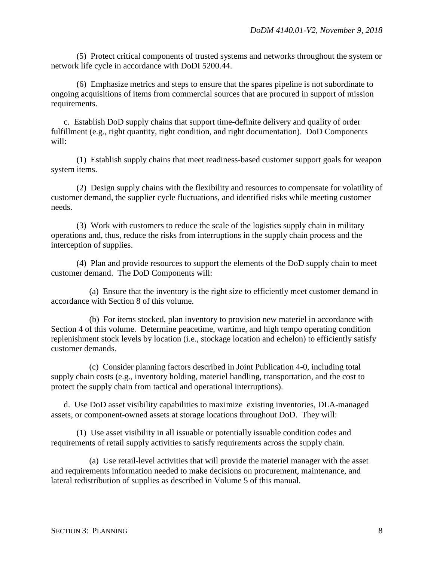(5) Protect critical components of trusted systems and networks throughout the system or network life cycle in accordance with DoDI 5200.44.

(6) Emphasize metrics and steps to ensure that the spares pipeline is not subordinate to ongoing acquisitions of items from commercial sources that are procured in support of mission requirements.

c. Establish DoD supply chains that support time-definite delivery and quality of order fulfillment (e.g., right quantity, right condition, and right documentation). DoD Components will:

(1) Establish supply chains that meet readiness-based customer support goals for weapon system items.

(2) Design supply chains with the flexibility and resources to compensate for volatility of customer demand, the supplier cycle fluctuations, and identified risks while meeting customer needs.

(3) Work with customers to reduce the scale of the logistics supply chain in military operations and, thus, reduce the risks from interruptions in the supply chain process and the interception of supplies.

(4) Plan and provide resources to support the elements of the DoD supply chain to meet customer demand. The DoD Components will:

(a) Ensure that the inventory is the right size to efficiently meet customer demand in accordance with Section 8 of this volume.

(b) For items stocked, plan inventory to provision new materiel in accordance with Section 4 of this volume. Determine peacetime, wartime, and high tempo operating condition replenishment stock levels by location (i.e., stockage location and echelon) to efficiently satisfy customer demands.

(c) Consider planning factors described in Joint Publication 4-0, including total supply chain costs (e.g., inventory holding, materiel handling, transportation, and the cost to protect the supply chain from tactical and operational interruptions).

d. Use DoD asset visibility capabilities to maximize existing inventories, DLA-managed assets, or component-owned assets at storage locations throughout DoD. They will:

(1) Use asset visibility in all issuable or potentially issuable condition codes and requirements of retail supply activities to satisfy requirements across the supply chain.

(a) Use retail-level activities that will provide the materiel manager with the asset and requirements information needed to make decisions on procurement, maintenance, and lateral redistribution of supplies as described in Volume 5 of this manual.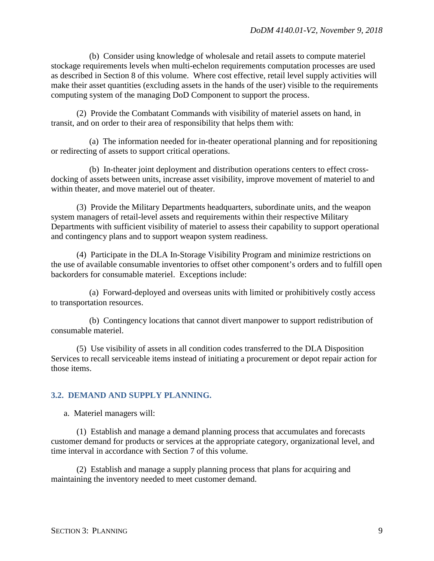(b) Consider using knowledge of wholesale and retail assets to compute materiel stockage requirements levels when multi-echelon requirements computation processes are used as described in Section 8 of this volume. Where cost effective, retail level supply activities will make their asset quantities (excluding assets in the hands of the user) visible to the requirements computing system of the managing DoD Component to support the process.

(2) Provide the Combatant Commands with visibility of materiel assets on hand, in transit, and on order to their area of responsibility that helps them with:

(a) The information needed for in-theater operational planning and for repositioning or redirecting of assets to support critical operations.

(b) In-theater joint deployment and distribution operations centers to effect crossdocking of assets between units, increase asset visibility, improve movement of materiel to and within theater, and move materiel out of theater.

(3) Provide the Military Departments headquarters, subordinate units, and the weapon system managers of retail-level assets and requirements within their respective Military Departments with sufficient visibility of materiel to assess their capability to support operational and contingency plans and to support weapon system readiness.

(4) Participate in the DLA In-Storage Visibility Program and minimize restrictions on the use of available consumable inventories to offset other component's orders and to fulfill open backorders for consumable materiel. Exceptions include:

(a) Forward-deployed and overseas units with limited or prohibitively costly access to transportation resources.

(b) Contingency locations that cannot divert manpower to support redistribution of consumable materiel.

(5) Use visibility of assets in all condition codes transferred to the DLA Disposition Services to recall serviceable items instead of initiating a procurement or depot repair action for those items.

### <span id="page-8-0"></span>**3.2. DEMAND AND SUPPLY PLANNING.**

a. Materiel managers will:

(1) Establish and manage a demand planning process that accumulates and forecasts customer demand for products or services at the appropriate category, organizational level, and time interval in accordance with Section 7 of this volume.

(2) Establish and manage a supply planning process that plans for acquiring and maintaining the inventory needed to meet customer demand.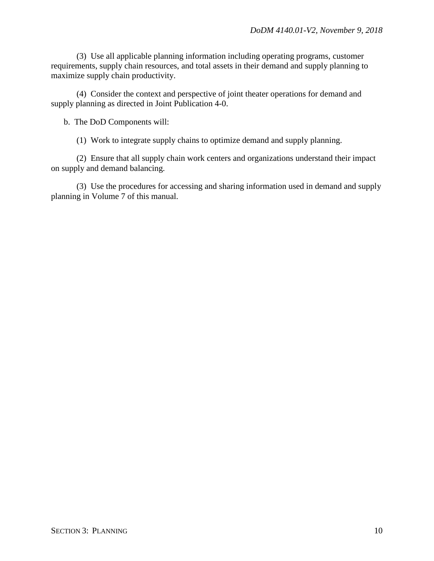(3) Use all applicable planning information including operating programs, customer requirements, supply chain resources, and total assets in their demand and supply planning to maximize supply chain productivity.

(4) Consider the context and perspective of joint theater operations for demand and supply planning as directed in Joint Publication 4-0.

b. The DoD Components will:

(1) Work to integrate supply chains to optimize demand and supply planning.

(2) Ensure that all supply chain work centers and organizations understand their impact on supply and demand balancing.

(3) Use the procedures for accessing and sharing information used in demand and supply planning in Volume 7 of this manual.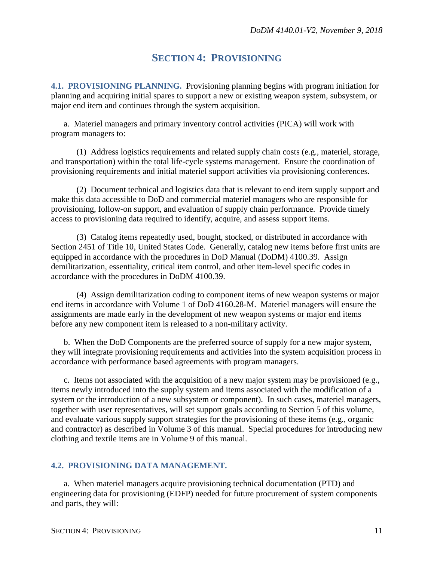# **SECTION 4: PROVISIONING**

<span id="page-10-1"></span><span id="page-10-0"></span>**4.1. PROVISIONING PLANNING.** Provisioning planning begins with program initiation for planning and acquiring initial spares to support a new or existing weapon system, subsystem, or major end item and continues through the system acquisition.

a. Materiel managers and primary inventory control activities (PICA) will work with program managers to:

(1) Address logistics requirements and related supply chain costs (e.g., materiel, storage, and transportation) within the total life-cycle systems management. Ensure the coordination of provisioning requirements and initial materiel support activities via provisioning conferences.

(2) Document technical and logistics data that is relevant to end item supply support and make this data accessible to DoD and commercial materiel managers who are responsible for provisioning, follow-on support, and evaluation of supply chain performance. Provide timely access to provisioning data required to identify, acquire, and assess support items.

(3) Catalog items repeatedly used, bought, stocked, or distributed in accordance with Section 2451 of Title 10, United States Code. Generally, catalog new items before first units are equipped in accordance with the procedures in DoD Manual (DoDM) 4100.39. Assign demilitarization, essentiality, critical item control, and other item-level specific codes in accordance with the procedures in DoDM 4100.39.

(4) Assign demilitarization coding to component items of new weapon systems or major end items in accordance with Volume 1 of DoD 4160.28-M. Materiel managers will ensure the assignments are made early in the development of new weapon systems or major end items before any new component item is released to a non-military activity.

b. When the DoD Components are the preferred source of supply for a new major system, they will integrate provisioning requirements and activities into the system acquisition process in accordance with performance based agreements with program managers.

c. Items not associated with the acquisition of a new major system may be provisioned (e.g., items newly introduced into the supply system and items associated with the modification of a system or the introduction of a new subsystem or component). In such cases, materiel managers, together with user representatives, will set support goals according to Section 5 of this volume, and evaluate various supply support strategies for the provisioning of these items (e.g., organic and contractor) as described in Volume 3 of this manual. Special procedures for introducing new clothing and textile items are in Volume 9 of this manual.

### <span id="page-10-2"></span>**4.2. PROVISIONING DATA MANAGEMENT.**

a. When materiel managers acquire provisioning technical documentation (PTD) and engineering data for provisioning (EDFP) needed for future procurement of system components and parts, they will: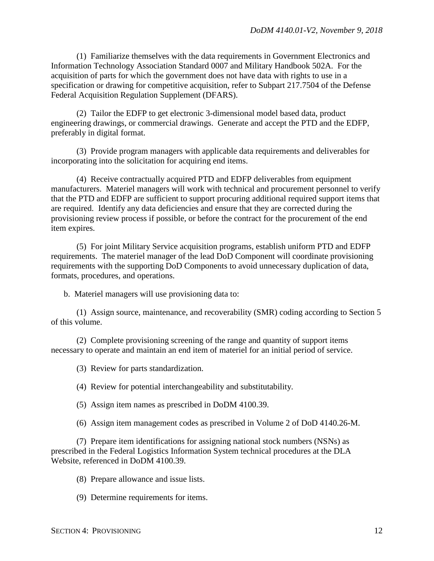(1) Familiarize themselves with the data requirements in Government Electronics and Information Technology Association Standard 0007 and Military Handbook 502A. For the acquisition of parts for which the government does not have data with rights to use in a specification or drawing for competitive acquisition, refer to Subpart 217.7504 of the Defense Federal Acquisition Regulation Supplement (DFARS).

(2) Tailor the EDFP to get electronic 3-dimensional model based data, product engineering drawings, or commercial drawings. Generate and accept the PTD and the EDFP, preferably in digital format.

(3) Provide program managers with applicable data requirements and deliverables for incorporating into the solicitation for acquiring end items.

(4) Receive contractually acquired PTD and EDFP deliverables from equipment manufacturers. Materiel managers will work with technical and procurement personnel to verify that the PTD and EDFP are sufficient to support procuring additional required support items that are required. Identify any data deficiencies and ensure that they are corrected during the provisioning review process if possible, or before the contract for the procurement of the end item expires.

(5) For joint Military Service acquisition programs, establish uniform PTD and EDFP requirements. The materiel manager of the lead DoD Component will coordinate provisioning requirements with the supporting DoD Components to avoid unnecessary duplication of data, formats, procedures, and operations.

b. Materiel managers will use provisioning data to:

(1) Assign source, maintenance, and recoverability (SMR) coding according to Section 5 of this volume.

(2) Complete provisioning screening of the range and quantity of support items necessary to operate and maintain an end item of materiel for an initial period of service.

(3) Review for parts standardization.

(4) Review for potential interchangeability and substitutability.

(5) Assign item names as prescribed in DoDM 4100.39.

(6) Assign item management codes as prescribed in Volume 2 of DoD 4140.26-M.

(7) Prepare item identifications for assigning national stock numbers (NSNs) as prescribed in the Federal Logistics Information System technical procedures at the DLA Website, referenced in DoDM 4100.39.

(8) Prepare allowance and issue lists.

(9) Determine requirements for items.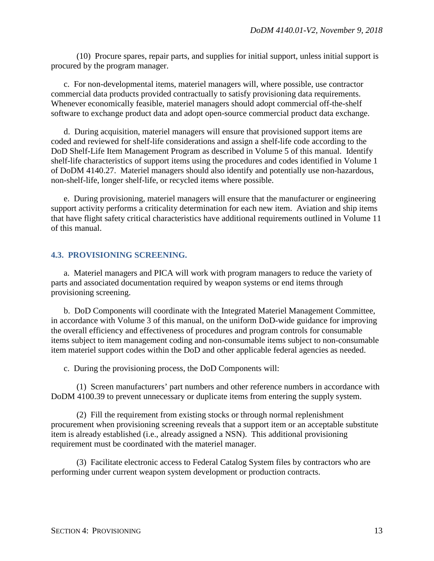(10) Procure spares, repair parts, and supplies for initial support, unless initial support is procured by the program manager.

c. For non-developmental items, materiel managers will, where possible, use contractor commercial data products provided contractually to satisfy provisioning data requirements. Whenever economically feasible, materiel managers should adopt commercial off-the-shelf software to exchange product data and adopt open-source commercial product data exchange.

d. During acquisition, materiel managers will ensure that provisioned support items are coded and reviewed for shelf-life considerations and assign a shelf-life code according to the DoD Shelf-Life Item Management Program as described in Volume 5 of this manual. Identify shelf-life characteristics of support items using the procedures and codes identified in Volume 1 of DoDM 4140.27. Materiel managers should also identify and potentially use non-hazardous, non-shelf-life, longer shelf-life, or recycled items where possible.

e. During provisioning, materiel managers will ensure that the manufacturer or engineering support activity performs a criticality determination for each new item. Aviation and ship items that have flight safety critical characteristics have additional requirements outlined in Volume 11 of this manual.

### <span id="page-12-0"></span>**4.3. PROVISIONING SCREENING.**

a. Materiel managers and PICA will work with program managers to reduce the variety of parts and associated documentation required by weapon systems or end items through provisioning screening.

b. DoD Components will coordinate with the Integrated Materiel Management Committee, in accordance with Volume 3 of this manual, on the uniform DoD-wide guidance for improving the overall efficiency and effectiveness of procedures and program controls for consumable items subject to item management coding and non-consumable items subject to non-consumable item materiel support codes within the DoD and other applicable federal agencies as needed.

c. During the provisioning process, the DoD Components will:

(1) Screen manufacturers' part numbers and other reference numbers in accordance with DoDM 4100.39 to prevent unnecessary or duplicate items from entering the supply system.

(2) Fill the requirement from existing stocks or through normal replenishment procurement when provisioning screening reveals that a support item or an acceptable substitute item is already established (i.e., already assigned a NSN). This additional provisioning requirement must be coordinated with the materiel manager.

(3) Facilitate electronic access to Federal Catalog System files by contractors who are performing under current weapon system development or production contracts.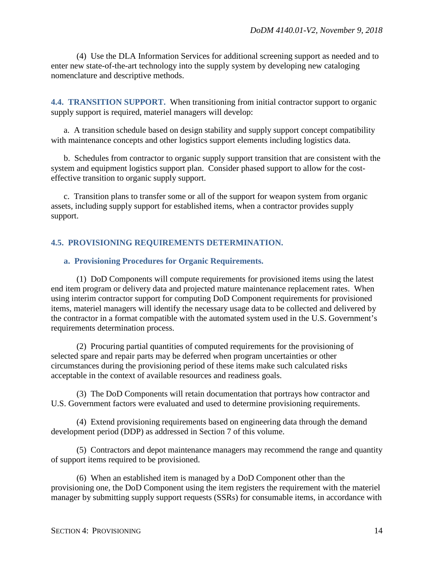(4) Use the DLA Information Services for additional screening support as needed and to enter new state-of-the-art technology into the supply system by developing new cataloging nomenclature and descriptive methods.

<span id="page-13-0"></span>**4.4. TRANSITION SUPPORT.** When transitioning from initial contractor support to organic supply support is required, materiel managers will develop:

a. A transition schedule based on design stability and supply support concept compatibility with maintenance concepts and other logistics support elements including logistics data.

b. Schedules from contractor to organic supply support transition that are consistent with the system and equipment logistics support plan. Consider phased support to allow for the costeffective transition to organic supply support.

c. Transition plans to transfer some or all of the support for weapon system from organic assets, including supply support for established items, when a contractor provides supply support.

### <span id="page-13-1"></span>**4.5. PROVISIONING REQUIREMENTS DETERMINATION.**

#### <span id="page-13-2"></span>**a. Provisioning Procedures for Organic Requirements.**

(1) DoD Components will compute requirements for provisioned items using the latest end item program or delivery data and projected mature maintenance replacement rates. When using interim contractor support for computing DoD Component requirements for provisioned items, materiel managers will identify the necessary usage data to be collected and delivered by the contractor in a format compatible with the automated system used in the U.S. Government's requirements determination process.

(2) Procuring partial quantities of computed requirements for the provisioning of selected spare and repair parts may be deferred when program uncertainties or other circumstances during the provisioning period of these items make such calculated risks acceptable in the context of available resources and readiness goals.

(3) The DoD Components will retain documentation that portrays how contractor and U.S. Government factors were evaluated and used to determine provisioning requirements.

(4) Extend provisioning requirements based on engineering data through the demand development period (DDP) as addressed in Section 7 of this volume.

(5) Contractors and depot maintenance managers may recommend the range and quantity of support items required to be provisioned.

(6) When an established item is managed by a DoD Component other than the provisioning one, the DoD Component using the item registers the requirement with the materiel manager by submitting supply support requests (SSRs) for consumable items, in accordance with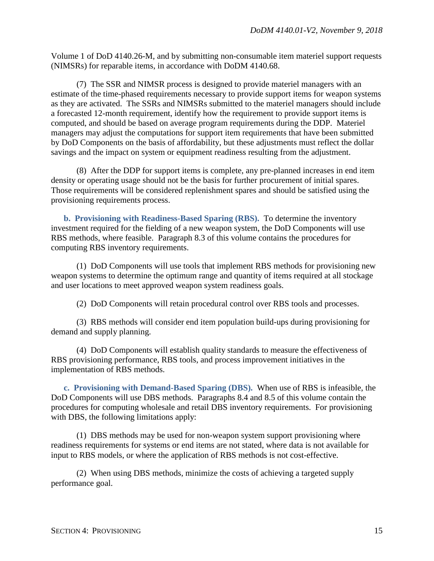Volume 1 of DoD 4140.26-M, and by submitting non-consumable item materiel support requests (NIMSRs) for reparable items, in accordance with DoDM 4140.68.

(7) The SSR and NIMSR process is designed to provide materiel managers with an estimate of the time-phased requirements necessary to provide support items for weapon systems as they are activated. The SSRs and NIMSRs submitted to the materiel managers should include a forecasted 12-month requirement, identify how the requirement to provide support items is computed, and should be based on average program requirements during the DDP. Materiel managers may adjust the computations for support item requirements that have been submitted by DoD Components on the basis of affordability, but these adjustments must reflect the dollar savings and the impact on system or equipment readiness resulting from the adjustment.

(8) After the DDP for support items is complete, any pre-planned increases in end item density or operating usage should not be the basis for further procurement of initial spares. Those requirements will be considered replenishment spares and should be satisfied using the provisioning requirements process.

<span id="page-14-0"></span>**b. Provisioning with Readiness-Based Sparing (RBS).** To determine the inventory investment required for the fielding of a new weapon system, the DoD Components will use RBS methods, where feasible. Paragraph 8.3 of this volume contains the procedures for computing RBS inventory requirements.

(1) DoD Components will use tools that implement RBS methods for provisioning new weapon systems to determine the optimum range and quantity of items required at all stockage and user locations to meet approved weapon system readiness goals.

(2) DoD Components will retain procedural control over RBS tools and processes.

(3) RBS methods will consider end item population build-ups during provisioning for demand and supply planning.

(4) DoD Components will establish quality standards to measure the effectiveness of RBS provisioning performance, RBS tools, and process improvement initiatives in the implementation of RBS methods.

<span id="page-14-1"></span>**c. Provisioning with Demand-Based Sparing (DBS).** When use of RBS is infeasible, the DoD Components will use DBS methods. Paragraphs 8.4 and 8.5 of this volume contain the procedures for computing wholesale and retail DBS inventory requirements. For provisioning with DBS, the following limitations apply:

(1) DBS methods may be used for non-weapon system support provisioning where readiness requirements for systems or end items are not stated, where data is not available for input to RBS models, or where the application of RBS methods is not cost-effective.

(2) When using DBS methods, minimize the costs of achieving a targeted supply performance goal.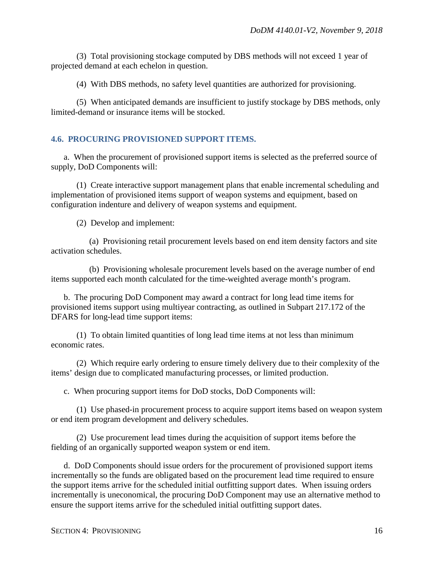(3) Total provisioning stockage computed by DBS methods will not exceed 1 year of projected demand at each echelon in question.

(4) With DBS methods, no safety level quantities are authorized for provisioning.

(5) When anticipated demands are insufficient to justify stockage by DBS methods, only limited-demand or insurance items will be stocked.

# <span id="page-15-0"></span>**4.6. PROCURING PROVISIONED SUPPORT ITEMS.**

a. When the procurement of provisioned support items is selected as the preferred source of supply, DoD Components will:

(1) Create interactive support management plans that enable incremental scheduling and implementation of provisioned items support of weapon systems and equipment, based on configuration indenture and delivery of weapon systems and equipment.

(2) Develop and implement:

(a) Provisioning retail procurement levels based on end item density factors and site activation schedules.

(b) Provisioning wholesale procurement levels based on the average number of end items supported each month calculated for the time-weighted average month's program.

b. The procuring DoD Component may award a contract for long lead time items for provisioned items support using multiyear contracting, as outlined in Subpart 217.172 of the DFARS for long-lead time support items:

(1) To obtain limited quantities of long lead time items at not less than minimum economic rates.

(2) Which require early ordering to ensure timely delivery due to their complexity of the items' design due to complicated manufacturing processes, or limited production.

c. When procuring support items for DoD stocks, DoD Components will:

(1) Use phased-in procurement process to acquire support items based on weapon system or end item program development and delivery schedules.

(2) Use procurement lead times during the acquisition of support items before the fielding of an organically supported weapon system or end item.

d. DoD Components should issue orders for the procurement of provisioned support items incrementally so the funds are obligated based on the procurement lead time required to ensure the support items arrive for the scheduled initial outfitting support dates. When issuing orders incrementally is uneconomical, the procuring DoD Component may use an alternative method to ensure the support items arrive for the scheduled initial outfitting support dates.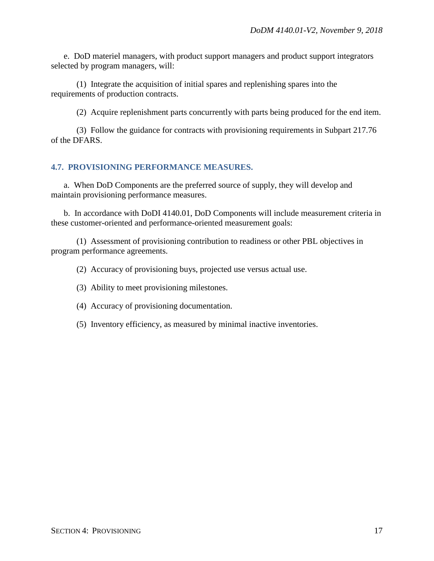e. DoD materiel managers, with product support managers and product support integrators selected by program managers, will:

(1) Integrate the acquisition of initial spares and replenishing spares into the requirements of production contracts.

(2) Acquire replenishment parts concurrently with parts being produced for the end item.

(3) Follow the guidance for contracts with provisioning requirements in Subpart 217.76 of the DFARS.

## <span id="page-16-0"></span>**4.7. PROVISIONING PERFORMANCE MEASURES.**

a. When DoD Components are the preferred source of supply, they will develop and maintain provisioning performance measures.

b. In accordance with DoDI 4140.01, DoD Components will include measurement criteria in these customer-oriented and performance-oriented measurement goals:

(1) Assessment of provisioning contribution to readiness or other PBL objectives in program performance agreements.

(2) Accuracy of provisioning buys, projected use versus actual use.

(3) Ability to meet provisioning milestones.

(4) Accuracy of provisioning documentation.

(5) Inventory efficiency, as measured by minimal inactive inventories.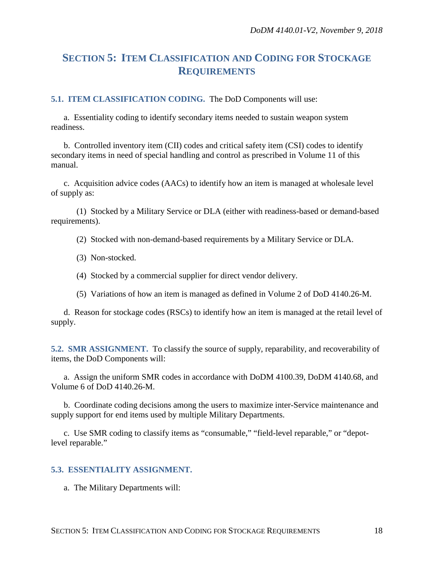# <span id="page-17-0"></span>**SECTION 5: ITEM CLASSIFICATION AND CODING FOR STOCKAGE REQUIREMENTS**

<span id="page-17-1"></span>**5.1. ITEM CLASSIFICATION CODING.** The DoD Components will use:

a. Essentiality coding to identify secondary items needed to sustain weapon system readiness.

b. Controlled inventory item (CII) codes and critical safety item (CSI) codes to identify secondary items in need of special handling and control as prescribed in Volume 11 of this manual.

c. Acquisition advice codes (AACs) to identify how an item is managed at wholesale level of supply as:

(1) Stocked by a Military Service or DLA (either with readiness-based or demand-based requirements).

(2) Stocked with non-demand-based requirements by a Military Service or DLA.

- (3) Non-stocked.
- (4) Stocked by a commercial supplier for direct vendor delivery.
- (5) Variations of how an item is managed as defined in Volume 2 of DoD 4140.26-M.

d. Reason for stockage codes (RSCs) to identify how an item is managed at the retail level of supply.

<span id="page-17-2"></span>**5.2. SMR ASSIGNMENT.** To classify the source of supply, reparability, and recoverability of items, the DoD Components will:

a. Assign the uniform SMR codes in accordance with DoDM 4100.39, DoDM 4140.68, and Volume 6 of DoD 4140.26-M.

b. Coordinate coding decisions among the users to maximize inter-Service maintenance and supply support for end items used by multiple Military Departments.

c. Use SMR coding to classify items as "consumable," "field-level reparable," or "depotlevel reparable."

#### <span id="page-17-3"></span>**5.3. ESSENTIALITY ASSIGNMENT.**

a. The Military Departments will: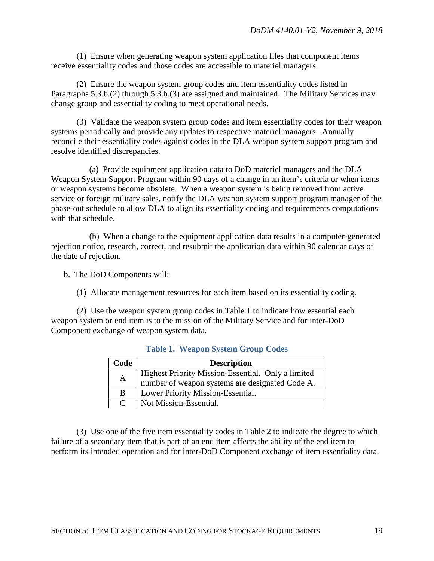(1) Ensure when generating weapon system application files that component items receive essentiality codes and those codes are accessible to materiel managers.

(2) Ensure the weapon system group codes and item essentiality codes listed in Paragraphs 5.3.b.(2) through 5.3.b.(3) are assigned and maintained. The Military Services may change group and essentiality coding to meet operational needs.

(3) Validate the weapon system group codes and item essentiality codes for their weapon systems periodically and provide any updates to respective materiel managers. Annually reconcile their essentiality codes against codes in the DLA weapon system support program and resolve identified discrepancies.

(a) Provide equipment application data to DoD materiel managers and the DLA Weapon System Support Program within 90 days of a change in an item's criteria or when items or weapon systems become obsolete. When a weapon system is being removed from active service or foreign military sales, notify the DLA weapon system support program manager of the phase-out schedule to allow DLA to align its essentiality coding and requirements computations with that schedule.

(b) When a change to the equipment application data results in a computer-generated rejection notice, research, correct, and resubmit the application data within 90 calendar days of the date of rejection.

b. The DoD Components will:

(1) Allocate management resources for each item based on its essentiality coding.

(2) Use the weapon system group codes in Table 1 to indicate how essential each weapon system or end item is to the mission of the Military Service and for inter-DoD Component exchange of weapon system data.

| Code          | <b>Description</b>                                                                                    |  |
|---------------|-------------------------------------------------------------------------------------------------------|--|
| $\mathbf{A}$  | Highest Priority Mission-Essential. Only a limited<br>number of weapon systems are designated Code A. |  |
| B             | Lower Priority Mission-Essential.                                                                     |  |
| $\mathcal{C}$ | Not Mission-Essential.                                                                                |  |

#### **Table 1. Weapon System Group Codes**

(3) Use one of the five item essentiality codes in Table 2 to indicate the degree to which failure of a secondary item that is part of an end item affects the ability of the end item to perform its intended operation and for inter-DoD Component exchange of item essentiality data.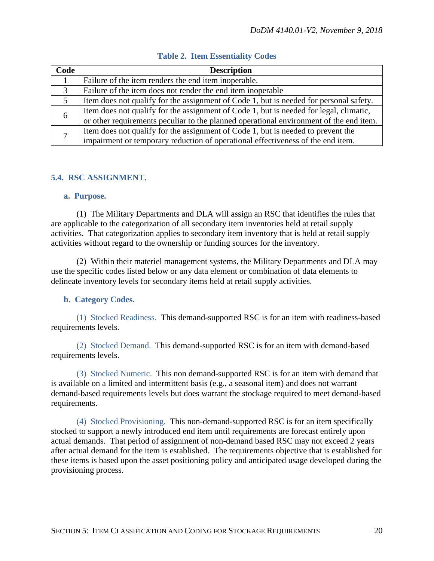| Code | <b>Description</b>                                                                     |  |
|------|----------------------------------------------------------------------------------------|--|
|      | Failure of the item renders the end item inoperable.                                   |  |
| 3    | Failure of the item does not render the end item inoperable                            |  |
| 5    | Item does not qualify for the assignment of Code 1, but is needed for personal safety. |  |
|      | Item does not qualify for the assignment of Code 1, but is needed for legal, climatic, |  |
| 6    | or other requirements peculiar to the planned operational environment of the end item. |  |
| 7    | Item does not qualify for the assignment of Code 1, but is needed to prevent the       |  |
|      | impairment or temporary reduction of operational effectiveness of the end item.        |  |

### **Table 2. Item Essentiality Codes**

#### <span id="page-19-0"></span>**5.4. RSC ASSIGNMENT.**

#### <span id="page-19-1"></span>**a. Purpose.**

(1) The Military Departments and DLA will assign an RSC that identifies the rules that are applicable to the categorization of all secondary item inventories held at retail supply activities. That categorization applies to secondary item inventory that is held at retail supply activities without regard to the ownership or funding sources for the inventory.

(2) Within their materiel management systems, the Military Departments and DLA may use the specific codes listed below or any data element or combination of data elements to delineate inventory levels for secondary items held at retail supply activities.

#### <span id="page-19-2"></span>**b. Category Codes.**

(1) Stocked Readiness. This demand-supported RSC is for an item with readiness-based requirements levels.

(2) Stocked Demand. This demand-supported RSC is for an item with demand-based requirements levels.

(3) Stocked Numeric. This non demand-supported RSC is for an item with demand that is available on a limited and intermittent basis (e.g., a seasonal item) and does not warrant demand-based requirements levels but does warrant the stockage required to meet demand-based requirements.

(4) Stocked Provisioning. This non-demand-supported RSC is for an item specifically stocked to support a newly introduced end item until requirements are forecast entirely upon actual demands. That period of assignment of non-demand based RSC may not exceed 2 years after actual demand for the item is established. The requirements objective that is established for these items is based upon the asset positioning policy and anticipated usage developed during the provisioning process.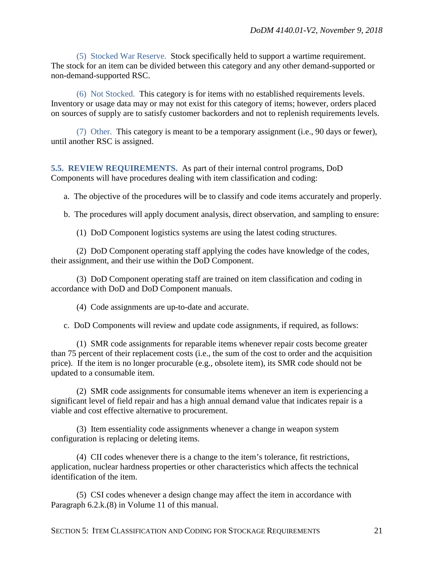(5) Stocked War Reserve. Stock specifically held to support a wartime requirement. The stock for an item can be divided between this category and any other demand-supported or non-demand-supported RSC.

(6) Not Stocked. This category is for items with no established requirements levels. Inventory or usage data may or may not exist for this category of items; however, orders placed on sources of supply are to satisfy customer backorders and not to replenish requirements levels.

(7) Other. This category is meant to be a temporary assignment (i.e., 90 days or fewer), until another RSC is assigned.

<span id="page-20-0"></span>**5.5. REVIEW REQUIREMENTS.** As part of their internal control programs, DoD Components will have procedures dealing with item classification and coding:

a. The objective of the procedures will be to classify and code items accurately and properly.

b. The procedures will apply document analysis, direct observation, and sampling to ensure:

(1) DoD Component logistics systems are using the latest coding structures.

(2) DoD Component operating staff applying the codes have knowledge of the codes, their assignment, and their use within the DoD Component.

(3) DoD Component operating staff are trained on item classification and coding in accordance with DoD and DoD Component manuals.

(4) Code assignments are up-to-date and accurate.

c. DoD Components will review and update code assignments, if required, as follows:

(1) SMR code assignments for reparable items whenever repair costs become greater than 75 percent of their replacement costs (i.e., the sum of the cost to order and the acquisition price). If the item is no longer procurable (e.g., obsolete item), its SMR code should not be updated to a consumable item.

(2) SMR code assignments for consumable items whenever an item is experiencing a significant level of field repair and has a high annual demand value that indicates repair is a viable and cost effective alternative to procurement.

(3) Item essentiality code assignments whenever a change in weapon system configuration is replacing or deleting items.

(4) CII codes whenever there is a change to the item's tolerance, fit restrictions, application, nuclear hardness properties or other characteristics which affects the technical identification of the item.

(5) CSI codes whenever a design change may affect the item in accordance with Paragraph 6.2.k.(8) in Volume 11 of this manual.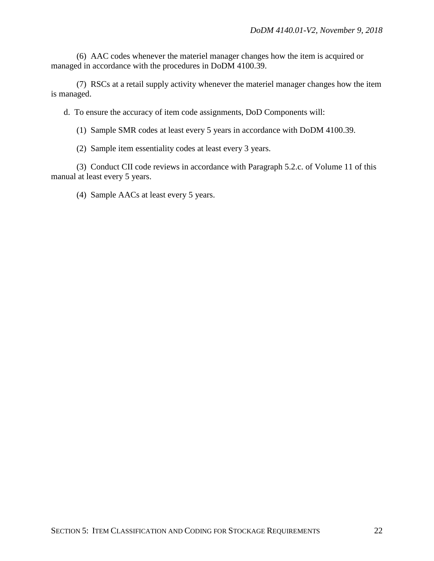(6) AAC codes whenever the materiel manager changes how the item is acquired or managed in accordance with the procedures in DoDM 4100.39.

(7) RSCs at a retail supply activity whenever the materiel manager changes how the item is managed.

d. To ensure the accuracy of item code assignments, DoD Components will:

(1) Sample SMR codes at least every 5 years in accordance with DoDM 4100.39.

(2) Sample item essentiality codes at least every 3 years.

(3) Conduct CII code reviews in accordance with Paragraph 5.2.c. of Volume 11 of this manual at least every 5 years.

(4) Sample AACs at least every 5 years.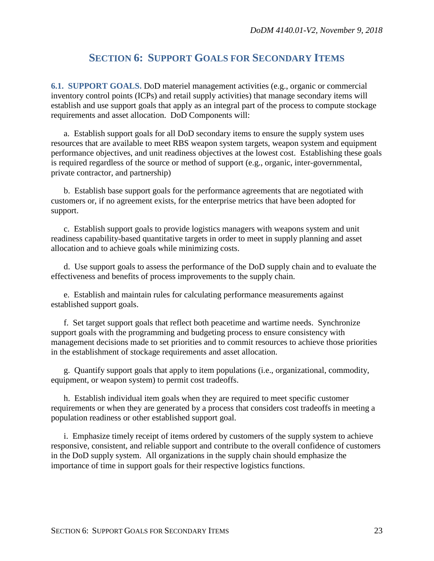# **SECTION 6: SUPPORT GOALS FOR SECONDARY ITEMS**

<span id="page-22-1"></span><span id="page-22-0"></span>**6.1. SUPPORT GOALS.** DoD materiel management activities (e.g., organic or commercial inventory control points (ICPs) and retail supply activities) that manage secondary items will establish and use support goals that apply as an integral part of the process to compute stockage requirements and asset allocation. DoD Components will:

a. Establish support goals for all DoD secondary items to ensure the supply system uses resources that are available to meet RBS weapon system targets, weapon system and equipment performance objectives, and unit readiness objectives at the lowest cost. Establishing these goals is required regardless of the source or method of support (e.g., organic, inter-governmental, private contractor, and partnership)

b. Establish base support goals for the performance agreements that are negotiated with customers or, if no agreement exists, for the enterprise metrics that have been adopted for support.

c. Establish support goals to provide logistics managers with weapons system and unit readiness capability-based quantitative targets in order to meet in supply planning and asset allocation and to achieve goals while minimizing costs.

d. Use support goals to assess the performance of the DoD supply chain and to evaluate the effectiveness and benefits of process improvements to the supply chain.

e. Establish and maintain rules for calculating performance measurements against established support goals.

f. Set target support goals that reflect both peacetime and wartime needs. Synchronize support goals with the programming and budgeting process to ensure consistency with management decisions made to set priorities and to commit resources to achieve those priorities in the establishment of stockage requirements and asset allocation.

g. Quantify support goals that apply to item populations (i.e., organizational, commodity, equipment, or weapon system) to permit cost tradeoffs.

h. Establish individual item goals when they are required to meet specific customer requirements or when they are generated by a process that considers cost tradeoffs in meeting a population readiness or other established support goal.

i. Emphasize timely receipt of items ordered by customers of the supply system to achieve responsive, consistent, and reliable support and contribute to the overall confidence of customers in the DoD supply system. All organizations in the supply chain should emphasize the importance of time in support goals for their respective logistics functions.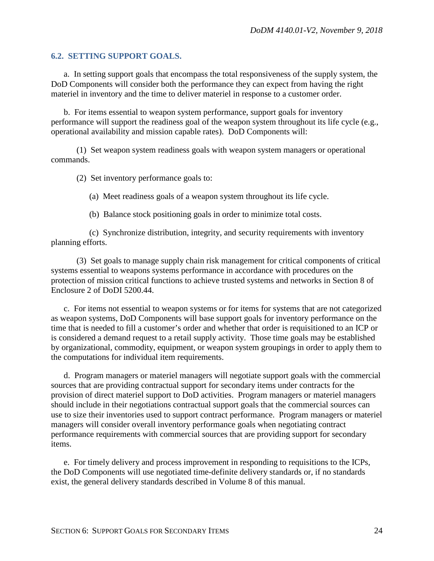#### <span id="page-23-0"></span>**6.2. SETTING SUPPORT GOALS.**

a. In setting support goals that encompass the total responsiveness of the supply system, the DoD Components will consider both the performance they can expect from having the right materiel in inventory and the time to deliver materiel in response to a customer order.

b. For items essential to weapon system performance, support goals for inventory performance will support the readiness goal of the weapon system throughout its life cycle (e.g., operational availability and mission capable rates). DoD Components will:

(1) Set weapon system readiness goals with weapon system managers or operational commands.

(2) Set inventory performance goals to:

(a) Meet readiness goals of a weapon system throughout its life cycle.

(b) Balance stock positioning goals in order to minimize total costs.

(c) Synchronize distribution, integrity, and security requirements with inventory planning efforts.

(3) Set goals to manage supply chain risk management for critical components of critical systems essential to weapons systems performance in accordance with procedures on the protection of mission critical functions to achieve trusted systems and networks in Section 8 of Enclosure 2 of DoDI 5200.44.

c. For items not essential to weapon systems or for items for systems that are not categorized as weapon systems, DoD Components will base support goals for inventory performance on the time that is needed to fill a customer's order and whether that order is requisitioned to an ICP or is considered a demand request to a retail supply activity. Those time goals may be established by organizational, commodity, equipment, or weapon system groupings in order to apply them to the computations for individual item requirements.

d. Program managers or materiel managers will negotiate support goals with the commercial sources that are providing contractual support for secondary items under contracts for the provision of direct materiel support to DoD activities. Program managers or materiel managers should include in their negotiations contractual support goals that the commercial sources can use to size their inventories used to support contract performance. Program managers or materiel managers will consider overall inventory performance goals when negotiating contract performance requirements with commercial sources that are providing support for secondary items.

e. For timely delivery and process improvement in responding to requisitions to the ICPs, the DoD Components will use negotiated time-definite delivery standards or, if no standards exist, the general delivery standards described in Volume 8 of this manual.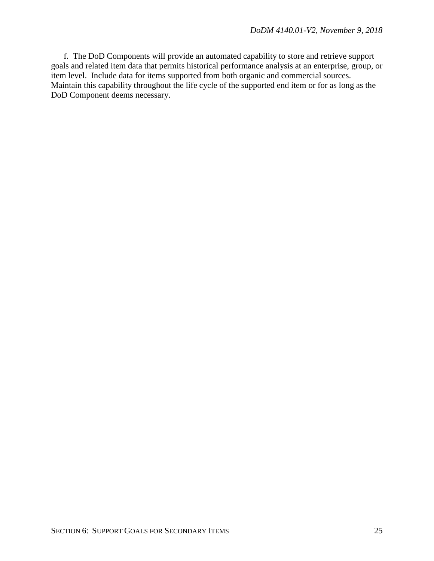f. The DoD Components will provide an automated capability to store and retrieve support goals and related item data that permits historical performance analysis at an enterprise, group, or item level. Include data for items supported from both organic and commercial sources. Maintain this capability throughout the life cycle of the supported end item or for as long as the DoD Component deems necessary.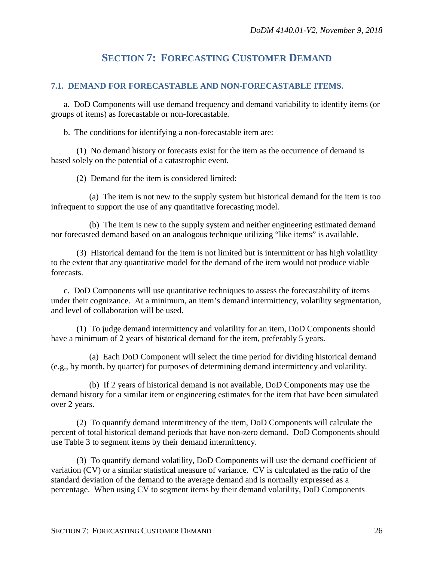# **SECTION 7: FORECASTING CUSTOMER DEMAND**

### <span id="page-25-1"></span><span id="page-25-0"></span>**7.1. DEMAND FOR FORECASTABLE AND NON-FORECASTABLE ITEMS.**

a. DoD Components will use demand frequency and demand variability to identify items (or groups of items) as forecastable or non-forecastable.

b. The conditions for identifying a non-forecastable item are:

(1) No demand history or forecasts exist for the item as the occurrence of demand is based solely on the potential of a catastrophic event.

(2) Demand for the item is considered limited:

(a) The item is not new to the supply system but historical demand for the item is too infrequent to support the use of any quantitative forecasting model.

(b) The item is new to the supply system and neither engineering estimated demand nor forecasted demand based on an analogous technique utilizing "like items" is available.

(3) Historical demand for the item is not limited but is intermittent or has high volatility to the extent that any quantitative model for the demand of the item would not produce viable forecasts.

c. DoD Components will use quantitative techniques to assess the forecastability of items under their cognizance. At a minimum, an item's demand intermittency, volatility segmentation, and level of collaboration will be used.

(1) To judge demand intermittency and volatility for an item, DoD Components should have a minimum of 2 years of historical demand for the item, preferably 5 years.

(a) Each DoD Component will select the time period for dividing historical demand (e.g., by month, by quarter) for purposes of determining demand intermittency and volatility.

(b) If 2 years of historical demand is not available, DoD Components may use the demand history for a similar item or engineering estimates for the item that have been simulated over 2 years.

(2) To quantify demand intermittency of the item, DoD Components will calculate the percent of total historical demand periods that have non-zero demand. DoD Components should use Table 3 to segment items by their demand intermittency.

(3) To quantify demand volatility, DoD Components will use the demand coefficient of variation (CV) or a similar statistical measure of variance. CV is calculated as the ratio of the standard deviation of the demand to the average demand and is normally expressed as a percentage. When using CV to segment items by their demand volatility, DoD Components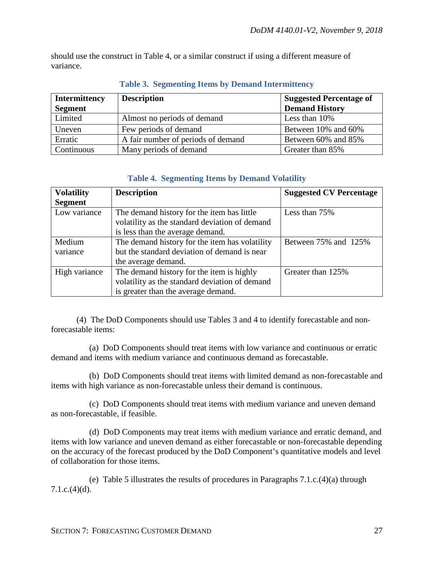should use the construct in Table 4, or a similar construct if using a different measure of variance.

| <b>Intermittency</b> | <b>Description</b>                 | <b>Suggested Percentage of</b> |
|----------------------|------------------------------------|--------------------------------|
| <b>Segment</b>       |                                    | <b>Demand History</b>          |
| Limited              | Almost no periods of demand        | Less than 10%                  |
| Uneven               | Few periods of demand              | Between 10% and 60%            |
| Erratic              | A fair number of periods of demand | Between 60% and 85%            |
| Continuous           | Many periods of demand             | Greater than 85%               |

## **Table 3. Segmenting Items by Demand Intermittency**

## **Table 4. Segmenting Items by Demand Volatility**

| <b>Volatility</b> | <b>Description</b>                             | <b>Suggested CV Percentage</b> |
|-------------------|------------------------------------------------|--------------------------------|
| <b>Segment</b>    |                                                |                                |
| Low variance      | The demand history for the item has little     | Less than 75%                  |
|                   | volatility as the standard deviation of demand |                                |
|                   | is less than the average demand.               |                                |
| Medium            | The demand history for the item has volatility | Between 75% and 125%           |
| variance          | but the standard deviation of demand is near   |                                |
|                   | the average demand.                            |                                |
| High variance     | The demand history for the item is highly      | Greater than 125%              |
|                   | volatility as the standard deviation of demand |                                |
|                   | is greater than the average demand.            |                                |

(4) The DoD Components should use Tables 3 and 4 to identify forecastable and nonforecastable items:

(a) DoD Components should treat items with low variance and continuous or erratic demand and items with medium variance and continuous demand as forecastable.

(b) DoD Components should treat items with limited demand as non-forecastable and items with high variance as non-forecastable unless their demand is continuous.

(c) DoD Components should treat items with medium variance and uneven demand as non-forecastable, if feasible.

(d) DoD Components may treat items with medium variance and erratic demand, and items with low variance and uneven demand as either forecastable or non-forecastable depending on the accuracy of the forecast produced by the DoD Component's quantitative models and level of collaboration for those items.

(e) Table 5 illustrates the results of procedures in Paragraphs 7.1.c.(4)(a) through  $7.1.c.(4)(d)$ .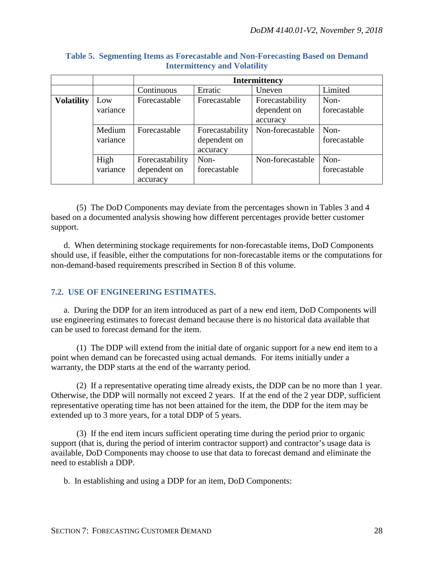|                   |          | <b>Intermittency</b> |                 |                  |              |
|-------------------|----------|----------------------|-----------------|------------------|--------------|
|                   |          | Continuous           | Erratic         | Uneven           | Limited      |
| <b>Volatility</b> | Low      | Forecastable         | Forecastable    | Forecastability  | Non-         |
|                   | variance |                      |                 | dependent on     | forecastable |
|                   |          |                      |                 | accuracy         |              |
|                   | Medium   | Forecastable         | Forecastability | Non-forecastable | Non-         |
|                   | variance |                      | dependent on    |                  | forecastable |
|                   |          |                      | accuracy        |                  |              |
|                   | High     | Forecastability      | Non-            | Non-forecastable | Non-         |
|                   | variance | dependent on         | forecastable    |                  | forecastable |
|                   |          | accuracy             |                 |                  |              |

## **Table 5. Segmenting Items as Forecastable and Non-Forecasting Based on Demand Intermittency and Volatility**

(5) The DoD Components may deviate from the percentages shown in Tables 3 and 4 based on a documented analysis showing how different percentages provide better customer support.

d. When determining stockage requirements for non-forecastable items, DoD Components should use, if feasible, either the computations for non-forecastable items or the computations for non-demand-based requirements prescribed in Section 8 of this volume.

# <span id="page-27-0"></span>**7.2. USE OF ENGINEERING ESTIMATES.**

a. During the DDP for an item introduced as part of a new end item, DoD Components will use engineering estimates to forecast demand because there is no historical data available that can be used to forecast demand for the item.

(1) The DDP will extend from the initial date of organic support for a new end item to a point when demand can be forecasted using actual demands. For items initially under a warranty, the DDP starts at the end of the warranty period.

(2) If a representative operating time already exists, the DDP can be no more than 1 year. Otherwise, the DDP will normally not exceed 2 years. If at the end of the 2 year DDP, sufficient representative operating time has not been attained for the item, the DDP for the item may be extended up to 3 more years, for a total DDP of 5 years.

(3) If the end item incurs sufficient operating time during the period prior to organic support (that is, during the period of interim contractor support) and contractor's usage data is available, DoD Components may choose to use that data to forecast demand and eliminate the need to establish a DDP.

b. In establishing and using a DDP for an item, DoD Components: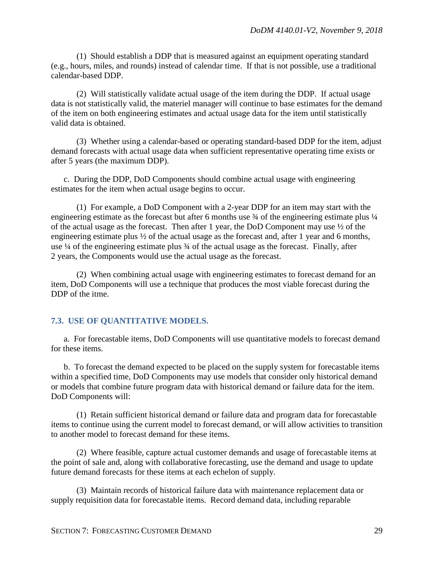(1) Should establish a DDP that is measured against an equipment operating standard (e.g., hours, miles, and rounds) instead of calendar time. If that is not possible, use a traditional calendar-based DDP.

(2) Will statistically validate actual usage of the item during the DDP. If actual usage data is not statistically valid, the materiel manager will continue to base estimates for the demand of the item on both engineering estimates and actual usage data for the item until statistically valid data is obtained.

(3) Whether using a calendar-based or operating standard-based DDP for the item, adjust demand forecasts with actual usage data when sufficient representative operating time exists or after 5 years (the maximum DDP).

c. During the DDP, DoD Components should combine actual usage with engineering estimates for the item when actual usage begins to occur.

(1) For example, a DoD Component with a 2-year DDP for an item may start with the engineering estimate as the forecast but after 6 months use  $\frac{3}{4}$  of the engineering estimate plus  $\frac{1}{4}$ of the actual usage as the forecast. Then after 1 year, the DoD Component may use ½ of the engineering estimate plus ½ of the actual usage as the forecast and, after 1 year and 6 months, use ¼ of the engineering estimate plus ¾ of the actual usage as the forecast. Finally, after 2 years, the Components would use the actual usage as the forecast.

(2) When combining actual usage with engineering estimates to forecast demand for an item, DoD Components will use a technique that produces the most viable forecast during the DDP of the itme.

#### <span id="page-28-0"></span>**7.3. USE OF QUANTITATIVE MODELS.**

a. For forecastable items, DoD Components will use quantitative models to forecast demand for these items.

b. To forecast the demand expected to be placed on the supply system for forecastable items within a specified time, DoD Components may use models that consider only historical demand or models that combine future program data with historical demand or failure data for the item. DoD Components will:

(1) Retain sufficient historical demand or failure data and program data for forecastable items to continue using the current model to forecast demand, or will allow activities to transition to another model to forecast demand for these items.

(2) Where feasible, capture actual customer demands and usage of forecastable items at the point of sale and, along with collaborative forecasting, use the demand and usage to update future demand forecasts for these items at each echelon of supply.

(3) Maintain records of historical failure data with maintenance replacement data or supply requisition data for forecastable items. Record demand data, including reparable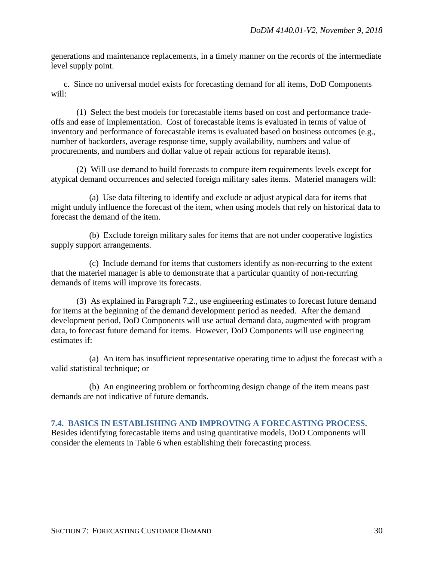generations and maintenance replacements, in a timely manner on the records of the intermediate level supply point.

c. Since no universal model exists for forecasting demand for all items, DoD Components will:

(1) Select the best models for forecastable items based on cost and performance tradeoffs and ease of implementation. Cost of forecastable items is evaluated in terms of value of inventory and performance of forecastable items is evaluated based on business outcomes (e.g., number of backorders, average response time, supply availability, numbers and value of procurements, and numbers and dollar value of repair actions for reparable items).

(2) Will use demand to build forecasts to compute item requirements levels except for atypical demand occurrences and selected foreign military sales items. Materiel managers will:

(a) Use data filtering to identify and exclude or adjust atypical data for items that might unduly influence the forecast of the item, when using models that rely on historical data to forecast the demand of the item.

(b) Exclude foreign military sales for items that are not under cooperative logistics supply support arrangements.

(c) Include demand for items that customers identify as non-recurring to the extent that the materiel manager is able to demonstrate that a particular quantity of non-recurring demands of items will improve its forecasts.

(3) As explained in Paragraph 7.2., use engineering estimates to forecast future demand for items at the beginning of the demand development period as needed. After the demand development period, DoD Components will use actual demand data, augmented with program data, to forecast future demand for items. However, DoD Components will use engineering estimates if:

(a) An item has insufficient representative operating time to adjust the forecast with a valid statistical technique; or

(b) An engineering problem or forthcoming design change of the item means past demands are not indicative of future demands.

<span id="page-29-0"></span>**7.4. BASICS IN ESTABLISHING AND IMPROVING A FORECASTING PROCESS.** Besides identifying forecastable items and using quantitative models, DoD Components will consider the elements in Table 6 when establishing their forecasting process.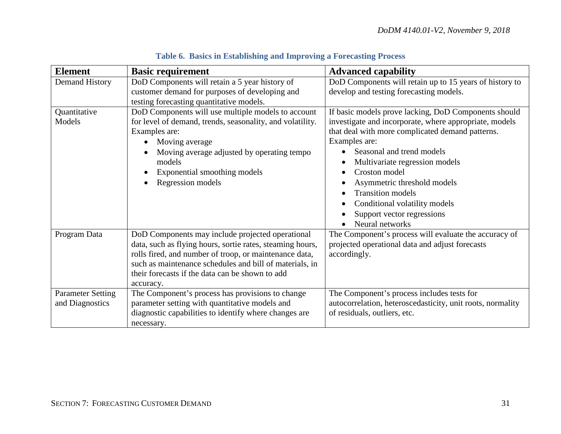| <b>Element</b>                              | <b>Basic requirement</b>                                                                                                                                                                                                                                                                           | <b>Advanced capability</b>                                                                                                                                                                                                                                                                                                                                                                                       |
|---------------------------------------------|----------------------------------------------------------------------------------------------------------------------------------------------------------------------------------------------------------------------------------------------------------------------------------------------------|------------------------------------------------------------------------------------------------------------------------------------------------------------------------------------------------------------------------------------------------------------------------------------------------------------------------------------------------------------------------------------------------------------------|
| Demand History                              | DoD Components will retain a 5 year history of<br>customer demand for purposes of developing and<br>testing forecasting quantitative models.                                                                                                                                                       | DoD Components will retain up to 15 years of history to<br>develop and testing forecasting models.                                                                                                                                                                                                                                                                                                               |
| Quantitative<br>Models                      | DoD Components will use multiple models to account<br>for level of demand, trends, seasonality, and volatility.<br>Examples are:<br>Moving average<br>Moving average adjusted by operating tempo<br>models<br>Exponential smoothing models<br>Regression models                                    | If basic models prove lacking, DoD Components should<br>investigate and incorporate, where appropriate, models<br>that deal with more complicated demand patterns.<br>Examples are:<br>Seasonal and trend models<br>Multivariate regression models<br>Croston model<br>Asymmetric threshold models<br><b>Transition</b> models<br>Conditional volatility models<br>Support vector regressions<br>Neural networks |
| Program Data                                | DoD Components may include projected operational<br>data, such as flying hours, sortie rates, steaming hours,<br>rolls fired, and number of troop, or maintenance data,<br>such as maintenance schedules and bill of materials, in<br>their forecasts if the data can be shown to add<br>accuracy. | The Component's process will evaluate the accuracy of<br>projected operational data and adjust forecasts<br>accordingly.                                                                                                                                                                                                                                                                                         |
| <b>Parameter Setting</b><br>and Diagnostics | The Component's process has provisions to change<br>parameter setting with quantitative models and<br>diagnostic capabilities to identify where changes are<br>necessary.                                                                                                                          | The Component's process includes tests for<br>autocorrelation, heteroscedasticity, unit roots, normality<br>of residuals, outliers, etc.                                                                                                                                                                                                                                                                         |

# **Table 6. Basics in Establishing and Improving a Forecasting Process**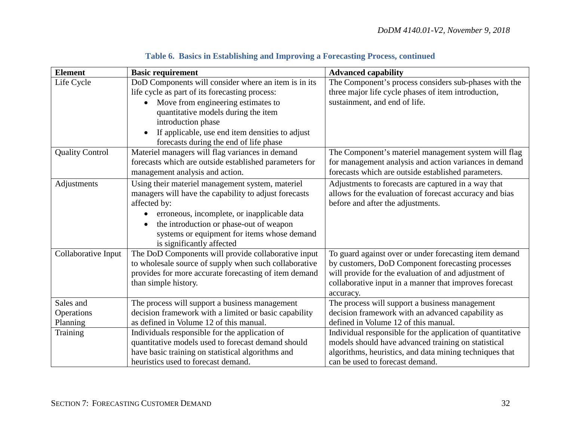| <b>Element</b>         | <b>Basic requirement</b>                                     | <b>Advanced capability</b>                                 |
|------------------------|--------------------------------------------------------------|------------------------------------------------------------|
| Life Cycle             | DoD Components will consider where an item is in its         | The Component's process considers sub-phases with the      |
|                        | life cycle as part of its forecasting process:               | three major life cycle phases of item introduction,        |
|                        | Move from engineering estimates to                           | sustainment, and end of life.                              |
|                        | quantitative models during the item                          |                                                            |
|                        | introduction phase                                           |                                                            |
|                        | If applicable, use end item densities to adjust<br>$\bullet$ |                                                            |
|                        | forecasts during the end of life phase                       |                                                            |
| <b>Quality Control</b> | Materiel managers will flag variances in demand              | The Component's materiel management system will flag       |
|                        | forecasts which are outside established parameters for       | for management analysis and action variances in demand     |
|                        | management analysis and action.                              | forecasts which are outside established parameters.        |
| Adjustments            | Using their materiel management system, materiel             | Adjustments to forecasts are captured in a way that        |
|                        | managers will have the capability to adjust forecasts        | allows for the evaluation of forecast accuracy and bias    |
|                        | affected by:                                                 | before and after the adjustments.                          |
|                        | erroneous, incomplete, or inapplicable data                  |                                                            |
|                        | the introduction or phase-out of weapon                      |                                                            |
|                        | systems or equipment for items whose demand                  |                                                            |
|                        | is significantly affected                                    |                                                            |
| Collaborative Input    | The DoD Components will provide collaborative input          | To guard against over or under forecasting item demand     |
|                        | to wholesale source of supply when such collaborative        | by customers, DoD Component forecasting processes          |
|                        | provides for more accurate forecasting of item demand        | will provide for the evaluation of and adjustment of       |
|                        | than simple history.                                         | collaborative input in a manner that improves forecast     |
|                        |                                                              | accuracy.                                                  |
| Sales and              | The process will support a business management               | The process will support a business management             |
| Operations             | decision framework with a limited or basic capability        | decision framework with an advanced capability as          |
| Planning               | as defined in Volume 12 of this manual.                      | defined in Volume 12 of this manual.                       |
| Training               | Individuals responsible for the application of               | Individual responsible for the application of quantitative |
|                        | quantitative models used to forecast demand should           | models should have advanced training on statistical        |
|                        | have basic training on statistical algorithms and            | algorithms, heuristics, and data mining techniques that    |
|                        | heuristics used to forecast demand.                          | can be used to forecast demand.                            |

# **Table 6. Basics in Establishing and Improving a Forecasting Process, continued**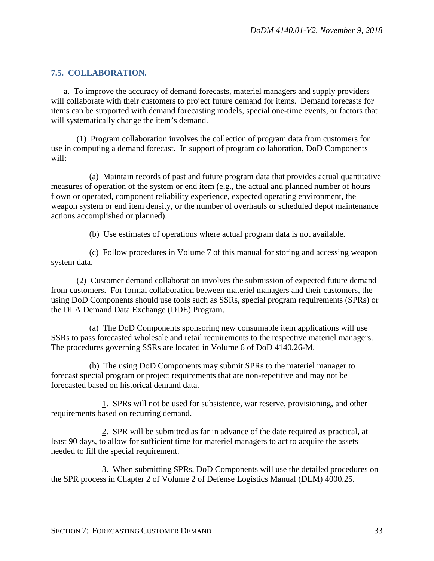## <span id="page-32-0"></span>**7.5. COLLABORATION.**

a. To improve the accuracy of demand forecasts, materiel managers and supply providers will collaborate with their customers to project future demand for items. Demand forecasts for items can be supported with demand forecasting models, special one-time events, or factors that will systematically change the item's demand.

(1) Program collaboration involves the collection of program data from customers for use in computing a demand forecast. In support of program collaboration, DoD Components will:

(a) Maintain records of past and future program data that provides actual quantitative measures of operation of the system or end item (e.g., the actual and planned number of hours flown or operated, component reliability experience, expected operating environment, the weapon system or end item density, or the number of overhauls or scheduled depot maintenance actions accomplished or planned).

(b) Use estimates of operations where actual program data is not available.

(c) Follow procedures in Volume 7 of this manual for storing and accessing weapon system data.

(2) Customer demand collaboration involves the submission of expected future demand from customers. For formal collaboration between materiel managers and their customers, the using DoD Components should use tools such as SSRs, special program requirements (SPRs) or the DLA Demand Data Exchange (DDE) Program.

(a) The DoD Components sponsoring new consumable item applications will use SSRs to pass forecasted wholesale and retail requirements to the respective materiel managers. The procedures governing SSRs are located in Volume 6 of DoD 4140.26-M.

(b) The using DoD Components may submit SPRs to the materiel manager to forecast special program or project requirements that are non-repetitive and may not be forecasted based on historical demand data.

1. SPRs will not be used for subsistence, war reserve, provisioning, and other requirements based on recurring demand.

2. SPR will be submitted as far in advance of the date required as practical, at least 90 days, to allow for sufficient time for materiel managers to act to acquire the assets needed to fill the special requirement.

3. When submitting SPRs, DoD Components will use the detailed procedures on the SPR process in Chapter 2 of Volume 2 of Defense Logistics Manual (DLM) 4000.25.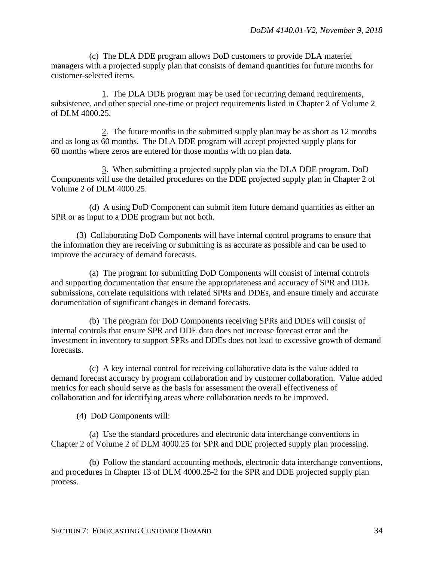(c) The DLA DDE program allows DoD customers to provide DLA materiel managers with a projected supply plan that consists of demand quantities for future months for customer-selected items.

1. The DLA DDE program may be used for recurring demand requirements, subsistence, and other special one-time or project requirements listed in Chapter 2 of Volume 2 of DLM 4000.25.

2. The future months in the submitted supply plan may be as short as 12 months and as long as 60 months. The DLA DDE program will accept projected supply plans for 60 months where zeros are entered for those months with no plan data.

3. When submitting a projected supply plan via the DLA DDE program, DoD Components will use the detailed procedures on the DDE projected supply plan in Chapter 2 of Volume 2 of DLM 4000.25.

(d) A using DoD Component can submit item future demand quantities as either an SPR or as input to a DDE program but not both.

(3) Collaborating DoD Components will have internal control programs to ensure that the information they are receiving or submitting is as accurate as possible and can be used to improve the accuracy of demand forecasts.

(a) The program for submitting DoD Components will consist of internal controls and supporting documentation that ensure the appropriateness and accuracy of SPR and DDE submissions, correlate requisitions with related SPRs and DDEs, and ensure timely and accurate documentation of significant changes in demand forecasts.

(b) The program for DoD Components receiving SPRs and DDEs will consist of internal controls that ensure SPR and DDE data does not increase forecast error and the investment in inventory to support SPRs and DDEs does not lead to excessive growth of demand forecasts.

(c) A key internal control for receiving collaborative data is the value added to demand forecast accuracy by program collaboration and by customer collaboration. Value added metrics for each should serve as the basis for assessment the overall effectiveness of collaboration and for identifying areas where collaboration needs to be improved.

(4) DoD Components will:

(a) Use the standard procedures and electronic data interchange conventions in Chapter 2 of Volume 2 of DLM 4000.25 for SPR and DDE projected supply plan processing.

(b) Follow the standard accounting methods, electronic data interchange conventions, and procedures in Chapter 13 of DLM 4000.25-2 for the SPR and DDE projected supply plan process.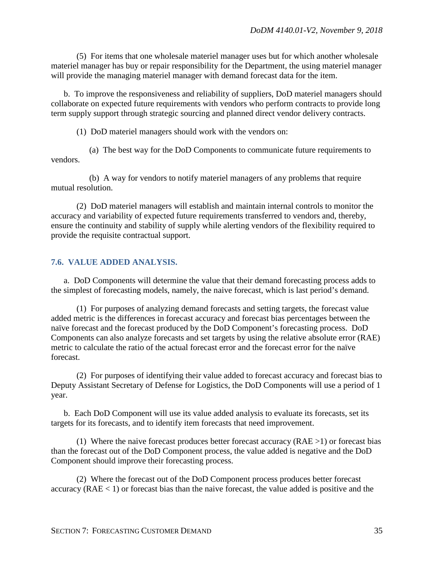(5) For items that one wholesale materiel manager uses but for which another wholesale materiel manager has buy or repair responsibility for the Department, the using materiel manager will provide the managing materiel manager with demand forecast data for the item.

b. To improve the responsiveness and reliability of suppliers, DoD materiel managers should collaborate on expected future requirements with vendors who perform contracts to provide long term supply support through strategic sourcing and planned direct vendor delivery contracts.

(1) DoD materiel managers should work with the vendors on:

(a) The best way for the DoD Components to communicate future requirements to vendors.

(b) A way for vendors to notify materiel managers of any problems that require mutual resolution.

(2) DoD materiel managers will establish and maintain internal controls to monitor the accuracy and variability of expected future requirements transferred to vendors and, thereby, ensure the continuity and stability of supply while alerting vendors of the flexibility required to provide the requisite contractual support.

### <span id="page-34-0"></span>**7.6. VALUE ADDED ANALYSIS.**

a. DoD Components will determine the value that their demand forecasting process adds to the simplest of forecasting models, namely, the naive forecast, which is last period's demand.

(1) For purposes of analyzing demand forecasts and setting targets, the forecast value added metric is the differences in forecast accuracy and forecast bias percentages between the naïve forecast and the forecast produced by the DoD Component's forecasting process. DoD Components can also analyze forecasts and set targets by using the relative absolute error (RAE) metric to calculate the ratio of the actual forecast error and the forecast error for the naïve forecast.

(2) For purposes of identifying their value added to forecast accuracy and forecast bias to Deputy Assistant Secretary of Defense for Logistics, the DoD Components will use a period of 1 year.

b. Each DoD Component will use its value added analysis to evaluate its forecasts, set its targets for its forecasts, and to identify item forecasts that need improvement.

(1) Where the naive forecast produces better forecast accuracy  $(RAE >1)$  or forecast bias than the forecast out of the DoD Component process, the value added is negative and the DoD Component should improve their forecasting process.

(2) Where the forecast out of the DoD Component process produces better forecast accuracy ( $RAE < 1$ ) or forecast bias than the naive forecast, the value added is positive and the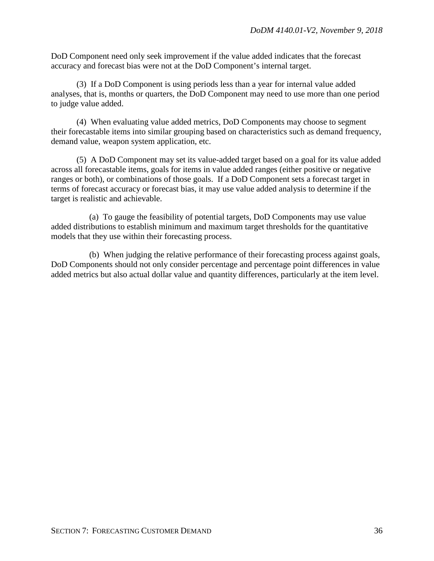DoD Component need only seek improvement if the value added indicates that the forecast accuracy and forecast bias were not at the DoD Component's internal target.

(3) If a DoD Component is using periods less than a year for internal value added analyses, that is, months or quarters, the DoD Component may need to use more than one period to judge value added.

(4) When evaluating value added metrics, DoD Components may choose to segment their forecastable items into similar grouping based on characteristics such as demand frequency, demand value, weapon system application, etc.

(5) A DoD Component may set its value-added target based on a goal for its value added across all forecastable items, goals for items in value added ranges (either positive or negative ranges or both), or combinations of those goals. If a DoD Component sets a forecast target in terms of forecast accuracy or forecast bias, it may use value added analysis to determine if the target is realistic and achievable.

(a) To gauge the feasibility of potential targets, DoD Components may use value added distributions to establish minimum and maximum target thresholds for the quantitative models that they use within their forecasting process.

(b) When judging the relative performance of their forecasting process against goals, DoD Components should not only consider percentage and percentage point differences in value added metrics but also actual dollar value and quantity differences, particularly at the item level.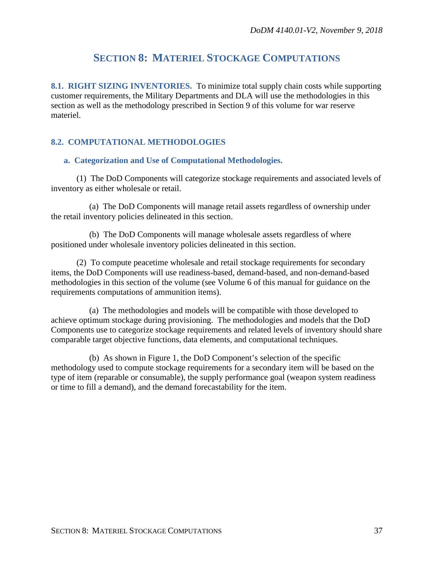## **SECTION 8: MATERIEL STOCKAGE COMPUTATIONS**

**8.1. RIGHT SIZING INVENTORIES.** To minimize total supply chain costs while supporting customer requirements, the Military Departments and DLA will use the methodologies in this section as well as the methodology prescribed in Section 9 of this volume for war reserve materiel.

## **8.2. COMPUTATIONAL METHODOLOGIES**

#### **a. Categorization and Use of Computational Methodologies.**

(1) The DoD Components will categorize stockage requirements and associated levels of inventory as either wholesale or retail.

(a) The DoD Components will manage retail assets regardless of ownership under the retail inventory policies delineated in this section.

(b) The DoD Components will manage wholesale assets regardless of where positioned under wholesale inventory policies delineated in this section.

(2) To compute peacetime wholesale and retail stockage requirements for secondary items, the DoD Components will use readiness-based, demand-based, and non-demand-based methodologies in this section of the volume (see Volume 6 of this manual for guidance on the requirements computations of ammunition items).

(a) The methodologies and models will be compatible with those developed to achieve optimum stockage during provisioning. The methodologies and models that the DoD Components use to categorize stockage requirements and related levels of inventory should share comparable target objective functions, data elements, and computational techniques.

(b) As shown in Figure 1, the DoD Component's selection of the specific methodology used to compute stockage requirements for a secondary item will be based on the type of item (reparable or consumable), the supply performance goal (weapon system readiness or time to fill a demand), and the demand forecastability for the item.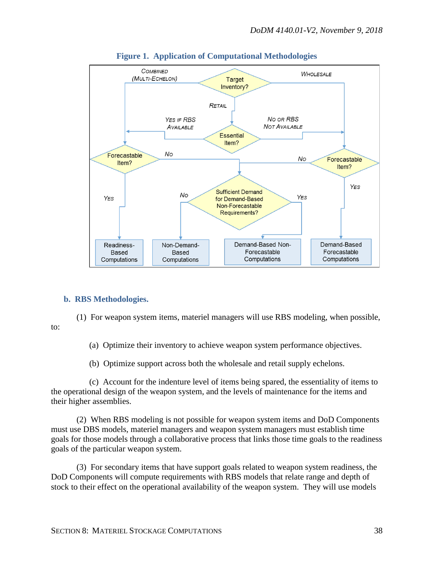

## **Figure 1. Application of Computational Methodologies**

## **b. RBS Methodologies.**

(1) For weapon system items, materiel managers will use RBS modeling, when possible, to:

(a) Optimize their inventory to achieve weapon system performance objectives.

(b) Optimize support across both the wholesale and retail supply echelons.

(c) Account for the indenture level of items being spared, the essentiality of items to the operational design of the weapon system, and the levels of maintenance for the items and their higher assemblies.

(2) When RBS modeling is not possible for weapon system items and DoD Components must use DBS models, materiel managers and weapon system managers must establish time goals for those models through a collaborative process that links those time goals to the readiness goals of the particular weapon system.

(3) For secondary items that have support goals related to weapon system readiness, the DoD Components will compute requirements with RBS models that relate range and depth of stock to their effect on the operational availability of the weapon system. They will use models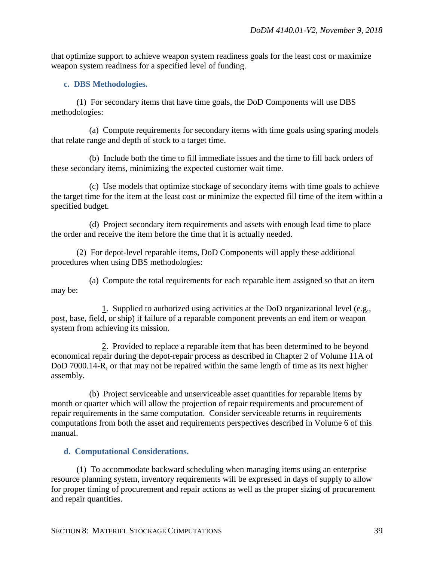that optimize support to achieve weapon system readiness goals for the least cost or maximize weapon system readiness for a specified level of funding.

## **c. DBS Methodologies.**

(1) For secondary items that have time goals, the DoD Components will use DBS methodologies:

(a) Compute requirements for secondary items with time goals using sparing models that relate range and depth of stock to a target time.

(b) Include both the time to fill immediate issues and the time to fill back orders of these secondary items, minimizing the expected customer wait time.

(c) Use models that optimize stockage of secondary items with time goals to achieve the target time for the item at the least cost or minimize the expected fill time of the item within a specified budget.

(d) Project secondary item requirements and assets with enough lead time to place the order and receive the item before the time that it is actually needed.

(2) For depot-level reparable items, DoD Components will apply these additional procedures when using DBS methodologies:

(a) Compute the total requirements for each reparable item assigned so that an item may be:

1. Supplied to authorized using activities at the DoD organizational level (e.g., post, base, field, or ship) if failure of a reparable component prevents an end item or weapon system from achieving its mission.

2. Provided to replace a reparable item that has been determined to be beyond economical repair during the depot-repair process as described in Chapter 2 of Volume 11A of DoD 7000.14-R, or that may not be repaired within the same length of time as its next higher assembly.

(b) Project serviceable and unserviceable asset quantities for reparable items by month or quarter which will allow the projection of repair requirements and procurement of repair requirements in the same computation. Consider serviceable returns in requirements computations from both the asset and requirements perspectives described in Volume 6 of this manual.

## **d. Computational Considerations.**

(1) To accommodate backward scheduling when managing items using an enterprise resource planning system, inventory requirements will be expressed in days of supply to allow for proper timing of procurement and repair actions as well as the proper sizing of procurement and repair quantities.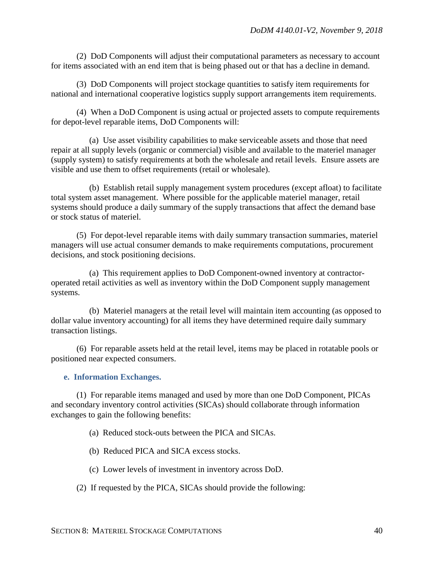(2) DoD Components will adjust their computational parameters as necessary to account for items associated with an end item that is being phased out or that has a decline in demand.

(3) DoD Components will project stockage quantities to satisfy item requirements for national and international cooperative logistics supply support arrangements item requirements.

(4) When a DoD Component is using actual or projected assets to compute requirements for depot-level reparable items, DoD Components will:

(a) Use asset visibility capabilities to make serviceable assets and those that need repair at all supply levels (organic or commercial) visible and available to the materiel manager (supply system) to satisfy requirements at both the wholesale and retail levels. Ensure assets are visible and use them to offset requirements (retail or wholesale).

(b) Establish retail supply management system procedures (except afloat) to facilitate total system asset management. Where possible for the applicable materiel manager, retail systems should produce a daily summary of the supply transactions that affect the demand base or stock status of materiel.

(5) For depot-level reparable items with daily summary transaction summaries, materiel managers will use actual consumer demands to make requirements computations, procurement decisions, and stock positioning decisions.

(a) This requirement applies to DoD Component-owned inventory at contractoroperated retail activities as well as inventory within the DoD Component supply management systems.

(b) Materiel managers at the retail level will maintain item accounting (as opposed to dollar value inventory accounting) for all items they have determined require daily summary transaction listings.

(6) For reparable assets held at the retail level, items may be placed in rotatable pools or positioned near expected consumers.

**e. Information Exchanges.** 

(1) For reparable items managed and used by more than one DoD Component, PICAs and secondary inventory control activities (SICAs) should collaborate through information exchanges to gain the following benefits:

- (a) Reduced stock-outs between the PICA and SICAs.
- (b) Reduced PICA and SICA excess stocks.
- (c) Lower levels of investment in inventory across DoD.
- (2) If requested by the PICA, SICAs should provide the following: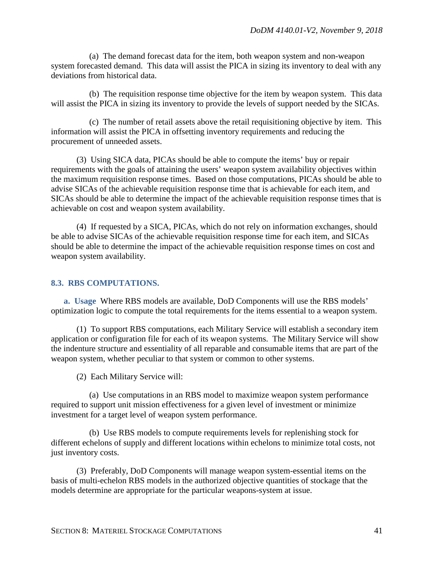(a) The demand forecast data for the item, both weapon system and non-weapon system forecasted demand. This data will assist the PICA in sizing its inventory to deal with any deviations from historical data.

(b) The requisition response time objective for the item by weapon system. This data will assist the PICA in sizing its inventory to provide the levels of support needed by the SICAs.

(c) The number of retail assets above the retail requisitioning objective by item. This information will assist the PICA in offsetting inventory requirements and reducing the procurement of unneeded assets.

(3) Using SICA data, PICAs should be able to compute the items' buy or repair requirements with the goals of attaining the users' weapon system availability objectives within the maximum requisition response times. Based on those computations, PICAs should be able to advise SICAs of the achievable requisition response time that is achievable for each item, and SICAs should be able to determine the impact of the achievable requisition response times that is achievable on cost and weapon system availability.

(4) If requested by a SICA, PICAs, which do not rely on information exchanges, should be able to advise SICAs of the achievable requisition response time for each item, and SICAs should be able to determine the impact of the achievable requisition response times on cost and weapon system availability.

#### **8.3. RBS COMPUTATIONS.**

**a. Usage** Where RBS models are available, DoD Components will use the RBS models' optimization logic to compute the total requirements for the items essential to a weapon system.

(1) To support RBS computations, each Military Service will establish a secondary item application or configuration file for each of its weapon systems. The Military Service will show the indenture structure and essentiality of all reparable and consumable items that are part of the weapon system, whether peculiar to that system or common to other systems.

(2) Each Military Service will:

(a) Use computations in an RBS model to maximize weapon system performance required to support unit mission effectiveness for a given level of investment or minimize investment for a target level of weapon system performance.

(b) Use RBS models to compute requirements levels for replenishing stock for different echelons of supply and different locations within echelons to minimize total costs, not just inventory costs.

(3) Preferably, DoD Components will manage weapon system-essential items on the basis of multi-echelon RBS models in the authorized objective quantities of stockage that the models determine are appropriate for the particular weapons-system at issue.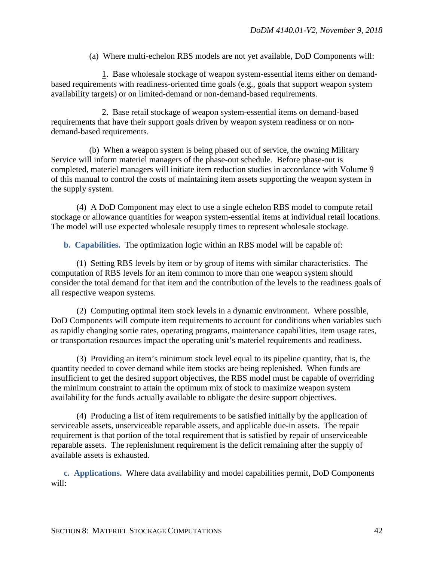(a) Where multi-echelon RBS models are not yet available, DoD Components will:

1. Base wholesale stockage of weapon system-essential items either on demandbased requirements with readiness-oriented time goals (e.g., goals that support weapon system availability targets) or on limited-demand or non-demand-based requirements.

2. Base retail stockage of weapon system-essential items on demand-based requirements that have their support goals driven by weapon system readiness or on nondemand-based requirements.

(b) When a weapon system is being phased out of service, the owning Military Service will inform materiel managers of the phase-out schedule. Before phase-out is completed, materiel managers will initiate item reduction studies in accordance with Volume 9 of this manual to control the costs of maintaining item assets supporting the weapon system in the supply system.

(4) A DoD Component may elect to use a single echelon RBS model to compute retail stockage or allowance quantities for weapon system-essential items at individual retail locations. The model will use expected wholesale resupply times to represent wholesale stockage.

**b. Capabilities.** The optimization logic within an RBS model will be capable of:

(1) Setting RBS levels by item or by group of items with similar characteristics. The computation of RBS levels for an item common to more than one weapon system should consider the total demand for that item and the contribution of the levels to the readiness goals of all respective weapon systems.

(2) Computing optimal item stock levels in a dynamic environment. Where possible, DoD Components will compute item requirements to account for conditions when variables such as rapidly changing sortie rates, operating programs, maintenance capabilities, item usage rates, or transportation resources impact the operating unit's materiel requirements and readiness.

(3) Providing an item's minimum stock level equal to its pipeline quantity, that is, the quantity needed to cover demand while item stocks are being replenished. When funds are insufficient to get the desired support objectives, the RBS model must be capable of overriding the minimum constraint to attain the optimum mix of stock to maximize weapon system availability for the funds actually available to obligate the desire support objectives.

(4) Producing a list of item requirements to be satisfied initially by the application of serviceable assets, unserviceable reparable assets, and applicable due-in assets. The repair requirement is that portion of the total requirement that is satisfied by repair of unserviceable reparable assets. The replenishment requirement is the deficit remaining after the supply of available assets is exhausted.

**c. Applications.** Where data availability and model capabilities permit, DoD Components will: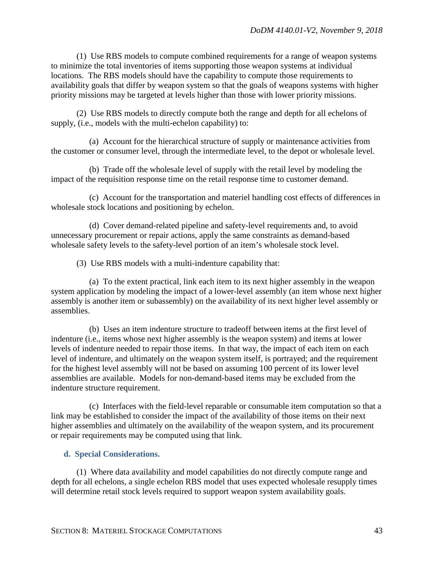(1) Use RBS models to compute combined requirements for a range of weapon systems to minimize the total inventories of items supporting those weapon systems at individual locations. The RBS models should have the capability to compute those requirements to availability goals that differ by weapon system so that the goals of weapons systems with higher priority missions may be targeted at levels higher than those with lower priority missions.

(2) Use RBS models to directly compute both the range and depth for all echelons of supply, (i.e., models with the multi-echelon capability) to:

(a) Account for the hierarchical structure of supply or maintenance activities from the customer or consumer level, through the intermediate level, to the depot or wholesale level.

(b) Trade off the wholesale level of supply with the retail level by modeling the impact of the requisition response time on the retail response time to customer demand.

(c) Account for the transportation and materiel handling cost effects of differences in wholesale stock locations and positioning by echelon.

(d) Cover demand-related pipeline and safety-level requirements and, to avoid unnecessary procurement or repair actions, apply the same constraints as demand-based wholesale safety levels to the safety-level portion of an item's wholesale stock level.

(3) Use RBS models with a multi-indenture capability that:

(a) To the extent practical, link each item to its next higher assembly in the weapon system application by modeling the impact of a lower-level assembly (an item whose next higher assembly is another item or subassembly) on the availability of its next higher level assembly or assemblies.

(b) Uses an item indenture structure to tradeoff between items at the first level of indenture (i.e., items whose next higher assembly is the weapon system) and items at lower levels of indenture needed to repair those items. In that way, the impact of each item on each level of indenture, and ultimately on the weapon system itself, is portrayed; and the requirement for the highest level assembly will not be based on assuming 100 percent of its lower level assemblies are available. Models for non-demand-based items may be excluded from the indenture structure requirement.

(c) Interfaces with the field-level reparable or consumable item computation so that a link may be established to consider the impact of the availability of those items on their next higher assemblies and ultimately on the availability of the weapon system, and its procurement or repair requirements may be computed using that link.

## **d. Special Considerations.**

(1) Where data availability and model capabilities do not directly compute range and depth for all echelons, a single echelon RBS model that uses expected wholesale resupply times will determine retail stock levels required to support weapon system availability goals.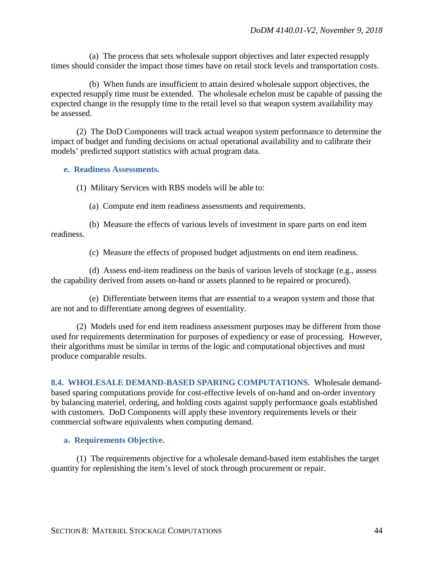(a) The process that sets wholesale support objectives and later expected resupply times should consider the impact those times have on retail stock levels and transportation costs.

(b) When funds are insufficient to attain desired wholesale support objectives, the expected resupply time must be extended. The wholesale echelon must be capable of passing the expected change in the resupply time to the retail level so that weapon system availability may be assessed.

(2) The DoD Components will track actual weapon system performance to determine the impact of budget and funding decisions on actual operational availability and to calibrate their models' predicted support statistics with actual program data.

**e. Readiness Assessments.**

(1) Military Services with RBS models will be able to:

(a) Compute end item readiness assessments and requirements.

(b) Measure the effects of various levels of investment in spare parts on end item readiness.

(c) Measure the effects of proposed budget adjustments on end item readiness.

(d) Assess end-item readiness on the basis of various levels of stockage (e.g., assess the capability derived from assets on-hand or assets planned to be repaired or procured).

(e) Differentiate between items that are essential to a weapon system and those that are not and to differentiate among degrees of essentiality.

(2) Models used for end item readiness assessment purposes may be different from those used for requirements determination for purposes of expediency or ease of processing. However, their algorithms must be similar in terms of the logic and computational objectives and must produce comparable results.

**8.4. WHOLESALE DEMAND-BASED SPARING COMPUTATIONS.** Wholesale demandbased sparing computations provide for cost-effective levels of on-hand and on-order inventory by balancing materiel, ordering, and holding costs against supply performance goals established with customers. DoD Components will apply these inventory requirements levels or their commercial software equivalents when computing demand.

## **a. Requirements Objective.**

(1) The requirements objective for a wholesale demand-based item establishes the target quantity for replenishing the item's level of stock through procurement or repair.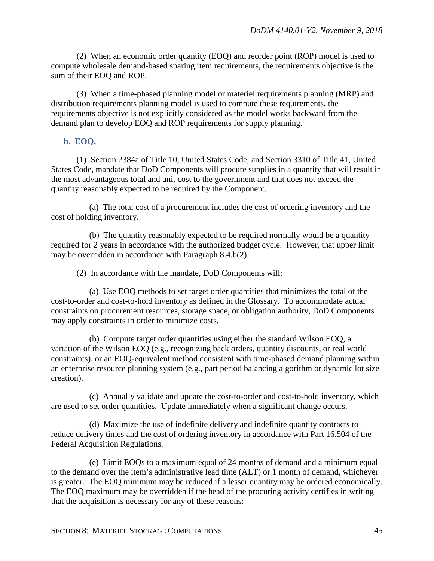(2) When an economic order quantity (EOQ) and reorder point (ROP) model is used to compute wholesale demand-based sparing item requirements, the requirements objective is the sum of their EOQ and ROP.

(3) When a time-phased planning model or materiel requirements planning (MRP) and distribution requirements planning model is used to compute these requirements, the requirements objective is not explicitly considered as the model works backward from the demand plan to develop EOQ and ROP requirements for supply planning.

## **b. EOQ.**

(1) Section 2384a of Title 10, United States Code, and Section 3310 of Title 41, United States Code, mandate that DoD Components will procure supplies in a quantity that will result in the most advantageous total and unit cost to the government and that does not exceed the quantity reasonably expected to be required by the Component.

(a) The total cost of a procurement includes the cost of ordering inventory and the cost of holding inventory.

(b) The quantity reasonably expected to be required normally would be a quantity required for 2 years in accordance with the authorized budget cycle. However, that upper limit may be overridden in accordance with Paragraph 8.4.b(2).

(2) In accordance with the mandate, DoD Components will:

(a) Use EOQ methods to set target order quantities that minimizes the total of the cost-to-order and cost-to-hold inventory as defined in the Glossary. To accommodate actual constraints on procurement resources, storage space, or obligation authority, DoD Components may apply constraints in order to minimize costs.

(b) Compute target order quantities using either the standard Wilson EOQ, a variation of the Wilson EOQ (e.g., recognizing back orders, quantity discounts, or real world constraints), or an EOQ-equivalent method consistent with time-phased demand planning within an enterprise resource planning system (e.g., part period balancing algorithm or dynamic lot size creation).

(c) Annually validate and update the cost-to-order and cost-to-hold inventory, which are used to set order quantities. Update immediately when a significant change occurs.

(d) Maximize the use of indefinite delivery and indefinite quantity contracts to reduce delivery times and the cost of ordering inventory in accordance with Part 16.504 of the Federal Acquisition Regulations.

(e) Limit EOQs to a maximum equal of 24 months of demand and a minimum equal to the demand over the item's administrative lead time (ALT) or 1 month of demand, whichever is greater. The EOQ minimum may be reduced if a lesser quantity may be ordered economically. The EOQ maximum may be overridden if the head of the procuring activity certifies in writing that the acquisition is necessary for any of these reasons: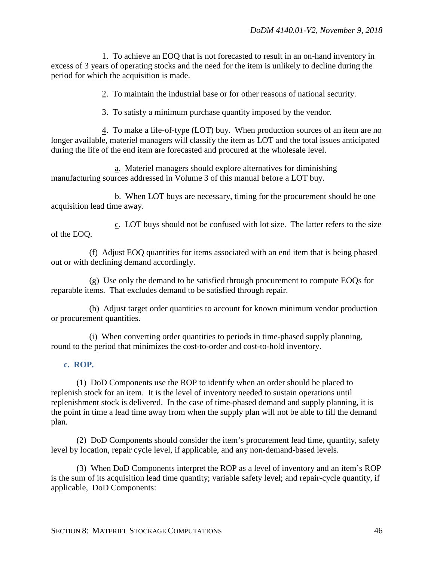1. To achieve an EOQ that is not forecasted to result in an on-hand inventory in excess of 3 years of operating stocks and the need for the item is unlikely to decline during the period for which the acquisition is made.

2. To maintain the industrial base or for other reasons of national security.

3. To satisfy a minimum purchase quantity imposed by the vendor.

4. To make a life-of-type (LOT) buy. When production sources of an item are no longer available, materiel managers will classify the item as LOT and the total issues anticipated during the life of the end item are forecasted and procured at the wholesale level.

a. Materiel managers should explore alternatives for diminishing manufacturing sources addressed in Volume 3 of this manual before a LOT buy.

b. When LOT buys are necessary, timing for the procurement should be one acquisition lead time away.

c. LOT buys should not be confused with lot size. The latter refers to the size of the EOQ.

(f) Adjust EOQ quantities for items associated with an end item that is being phased out or with declining demand accordingly.

(g) Use only the demand to be satisfied through procurement to compute EOQs for reparable items. That excludes demand to be satisfied through repair.

(h) Adjust target order quantities to account for known minimum vendor production or procurement quantities.

(i) When converting order quantities to periods in time-phased supply planning, round to the period that minimizes the cost-to-order and cost-to-hold inventory.

#### **c. ROP.**

(1) DoD Components use the ROP to identify when an order should be placed to replenish stock for an item. It is the level of inventory needed to sustain operations until replenishment stock is delivered. In the case of time-phased demand and supply planning, it is the point in time a lead time away from when the supply plan will not be able to fill the demand plan.

(2) DoD Components should consider the item's procurement lead time, quantity, safety level by location, repair cycle level, if applicable, and any non-demand-based levels.

(3) When DoD Components interpret the ROP as a level of inventory and an item's ROP is the sum of its acquisition lead time quantity; variable safety level; and repair-cycle quantity, if applicable, DoD Components: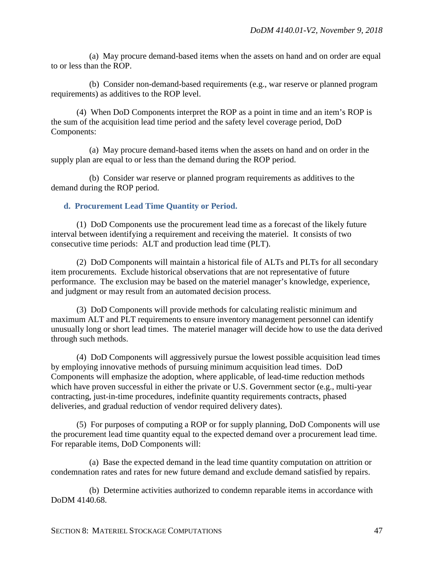(a) May procure demand-based items when the assets on hand and on order are equal to or less than the ROP.

(b) Consider non-demand-based requirements (e.g., war reserve or planned program requirements) as additives to the ROP level.

(4) When DoD Components interpret the ROP as a point in time and an item's ROP is the sum of the acquisition lead time period and the safety level coverage period, DoD Components:

(a) May procure demand-based items when the assets on hand and on order in the supply plan are equal to or less than the demand during the ROP period.

(b) Consider war reserve or planned program requirements as additives to the demand during the ROP period.

#### **d. Procurement Lead Time Quantity or Period.**

(1) DoD Components use the procurement lead time as a forecast of the likely future interval between identifying a requirement and receiving the materiel. It consists of two consecutive time periods: ALT and production lead time (PLT).

(2) DoD Components will maintain a historical file of ALTs and PLTs for all secondary item procurements. Exclude historical observations that are not representative of future performance. The exclusion may be based on the materiel manager's knowledge, experience, and judgment or may result from an automated decision process.

(3) DoD Components will provide methods for calculating realistic minimum and maximum ALT and PLT requirements to ensure inventory management personnel can identify unusually long or short lead times. The materiel manager will decide how to use the data derived through such methods.

(4) DoD Components will aggressively pursue the lowest possible acquisition lead times by employing innovative methods of pursuing minimum acquisition lead times. DoD Components will emphasize the adoption, where applicable, of lead-time reduction methods which have proven successful in either the private or U.S. Government sector (e.g., multi-year contracting, just-in-time procedures, indefinite quantity requirements contracts, phased deliveries, and gradual reduction of vendor required delivery dates).

(5) For purposes of computing a ROP or for supply planning, DoD Components will use the procurement lead time quantity equal to the expected demand over a procurement lead time. For reparable items, DoD Components will:

(a) Base the expected demand in the lead time quantity computation on attrition or condemnation rates and rates for new future demand and exclude demand satisfied by repairs.

(b) Determine activities authorized to condemn reparable items in accordance with DoDM 4140.68.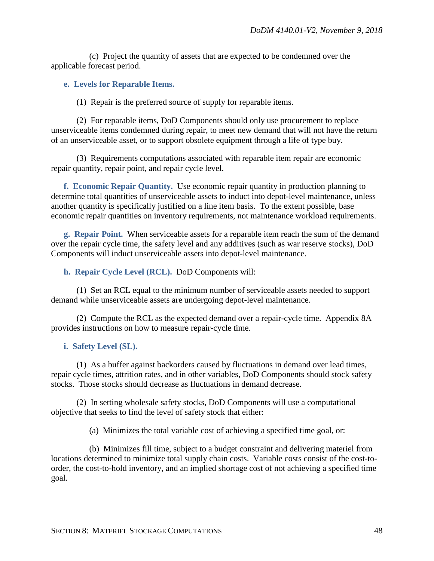(c) Project the quantity of assets that are expected to be condemned over the applicable forecast period.

## **e. Levels for Reparable Items.**

(1) Repair is the preferred source of supply for reparable items.

(2) For reparable items, DoD Components should only use procurement to replace unserviceable items condemned during repair, to meet new demand that will not have the return of an unserviceable asset, or to support obsolete equipment through a life of type buy.

(3) Requirements computations associated with reparable item repair are economic repair quantity, repair point, and repair cycle level.

**f. Economic Repair Quantity.** Use economic repair quantity in production planning to determine total quantities of unserviceable assets to induct into depot-level maintenance, unless another quantity is specifically justified on a line item basis. To the extent possible, base economic repair quantities on inventory requirements, not maintenance workload requirements.

**g. Repair Point.** When serviceable assets for a reparable item reach the sum of the demand over the repair cycle time, the safety level and any additives (such as war reserve stocks), DoD Components will induct unserviceable assets into depot-level maintenance.

**h. Repair Cycle Level (RCL).** DoD Components will:

(1) Set an RCL equal to the minimum number of serviceable assets needed to support demand while unserviceable assets are undergoing depot-level maintenance.

(2) Compute the RCL as the expected demand over a repair-cycle time. Appendix 8A provides instructions on how to measure repair-cycle time.

## **i. Safety Level (SL).**

(1) As a buffer against backorders caused by fluctuations in demand over lead times, repair cycle times, attrition rates, and in other variables, DoD Components should stock safety stocks. Those stocks should decrease as fluctuations in demand decrease.

(2) In setting wholesale safety stocks, DoD Components will use a computational objective that seeks to find the level of safety stock that either:

(a) Minimizes the total variable cost of achieving a specified time goal, or:

(b) Minimizes fill time, subject to a budget constraint and delivering materiel from locations determined to minimize total supply chain costs. Variable costs consist of the cost-toorder, the cost-to-hold inventory, and an implied shortage cost of not achieving a specified time goal.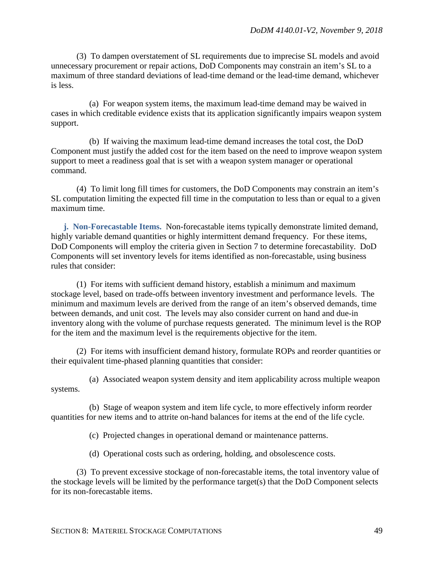(3) To dampen overstatement of SL requirements due to imprecise SL models and avoid unnecessary procurement or repair actions, DoD Components may constrain an item's SL to a maximum of three standard deviations of lead-time demand or the lead-time demand, whichever is less.

(a) For weapon system items, the maximum lead-time demand may be waived in cases in which creditable evidence exists that its application significantly impairs weapon system support.

(b) If waiving the maximum lead-time demand increases the total cost, the DoD Component must justify the added cost for the item based on the need to improve weapon system support to meet a readiness goal that is set with a weapon system manager or operational command.

(4) To limit long fill times for customers, the DoD Components may constrain an item's SL computation limiting the expected fill time in the computation to less than or equal to a given maximum time.

**j. Non-Forecastable Items.** Non-forecastable items typically demonstrate limited demand, highly variable demand quantities or highly intermittent demand frequency. For these items, DoD Components will employ the criteria given in Section 7 to determine forecastability. DoD Components will set inventory levels for items identified as non-forecastable, using business rules that consider:

(1) For items with sufficient demand history, establish a minimum and maximum stockage level, based on trade-offs between inventory investment and performance levels. The minimum and maximum levels are derived from the range of an item's observed demands, time between demands, and unit cost. The levels may also consider current on hand and due-in inventory along with the volume of purchase requests generated. The minimum level is the ROP for the item and the maximum level is the requirements objective for the item.

(2) For items with insufficient demand history, formulate ROPs and reorder quantities or their equivalent time-phased planning quantities that consider:

(a) Associated weapon system density and item applicability across multiple weapon systems.

(b) Stage of weapon system and item life cycle, to more effectively inform reorder quantities for new items and to attrite on-hand balances for items at the end of the life cycle.

(c) Projected changes in operational demand or maintenance patterns.

(d) Operational costs such as ordering, holding, and obsolescence costs.

(3) To prevent excessive stockage of non-forecastable items, the total inventory value of the stockage levels will be limited by the performance target(s) that the DoD Component selects for its non-forecastable items.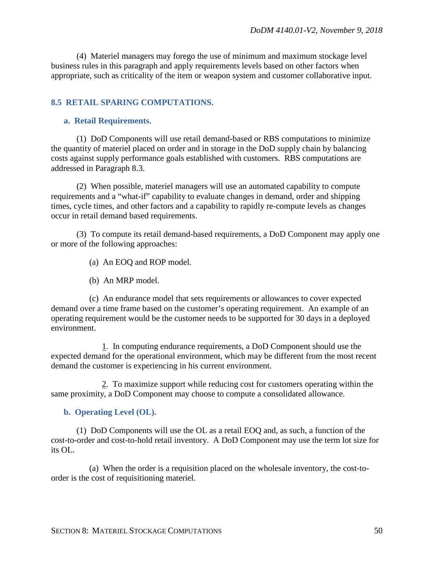(4) Materiel managers may forego the use of minimum and maximum stockage level business rules in this paragraph and apply requirements levels based on other factors when appropriate, such as criticality of the item or weapon system and customer collaborative input.

## **8.5 RETAIL SPARING COMPUTATIONS.**

#### **a. Retail Requirements.**

(1) DoD Components will use retail demand-based or RBS computations to minimize the quantity of materiel placed on order and in storage in the DoD supply chain by balancing costs against supply performance goals established with customers. RBS computations are addressed in Paragraph 8.3.

(2) When possible, materiel managers will use an automated capability to compute requirements and a "what-if" capability to evaluate changes in demand, order and shipping times, cycle times, and other factors and a capability to rapidly re-compute levels as changes occur in retail demand based requirements.

(3) To compute its retail demand-based requirements, a DoD Component may apply one or more of the following approaches:

- (a) An EOQ and ROP model.
- (b) An MRP model.

(c) An endurance model that sets requirements or allowances to cover expected demand over a time frame based on the customer's operating requirement. An example of an operating requirement would be the customer needs to be supported for 30 days in a deployed environment.

1. In computing endurance requirements, a DoD Component should use the expected demand for the operational environment, which may be different from the most recent demand the customer is experiencing in his current environment.

2. To maximize support while reducing cost for customers operating within the same proximity, a DoD Component may choose to compute a consolidated allowance.

#### **b. Operating Level (OL).**

(1) DoD Components will use the OL as a retail EOQ and, as such, a function of the cost-to-order and cost-to-hold retail inventory. A DoD Component may use the term lot size for its OL.

(a) When the order is a requisition placed on the wholesale inventory, the cost-toorder is the cost of requisitioning materiel.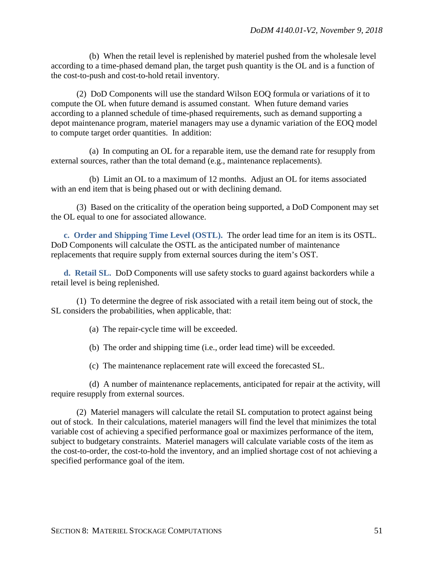(b) When the retail level is replenished by materiel pushed from the wholesale level according to a time-phased demand plan, the target push quantity is the OL and is a function of the cost-to-push and cost-to-hold retail inventory.

(2) DoD Components will use the standard Wilson EOQ formula or variations of it to compute the OL when future demand is assumed constant. When future demand varies according to a planned schedule of time-phased requirements, such as demand supporting a depot maintenance program, materiel managers may use a dynamic variation of the EOQ model to compute target order quantities. In addition:

(a) In computing an OL for a reparable item, use the demand rate for resupply from external sources, rather than the total demand (e.g., maintenance replacements).

(b) Limit an OL to a maximum of 12 months. Adjust an OL for items associated with an end item that is being phased out or with declining demand.

(3) Based on the criticality of the operation being supported, a DoD Component may set the OL equal to one for associated allowance.

**c. Order and Shipping Time Level (OSTL).** The order lead time for an item is its OSTL. DoD Components will calculate the OSTL as the anticipated number of maintenance replacements that require supply from external sources during the item's OST.

**d. Retail SL.** DoD Components will use safety stocks to guard against backorders while a retail level is being replenished.

(1) To determine the degree of risk associated with a retail item being out of stock, the SL considers the probabilities, when applicable, that:

(a) The repair-cycle time will be exceeded.

(b) The order and shipping time (i.e., order lead time) will be exceeded.

(c) The maintenance replacement rate will exceed the forecasted SL.

(d) A number of maintenance replacements, anticipated for repair at the activity, will require resupply from external sources.

(2) Materiel managers will calculate the retail SL computation to protect against being out of stock. In their calculations, materiel managers will find the level that minimizes the total variable cost of achieving a specified performance goal or maximizes performance of the item, subject to budgetary constraints. Materiel managers will calculate variable costs of the item as the cost-to-order, the cost-to-hold the inventory, and an implied shortage cost of not achieving a specified performance goal of the item.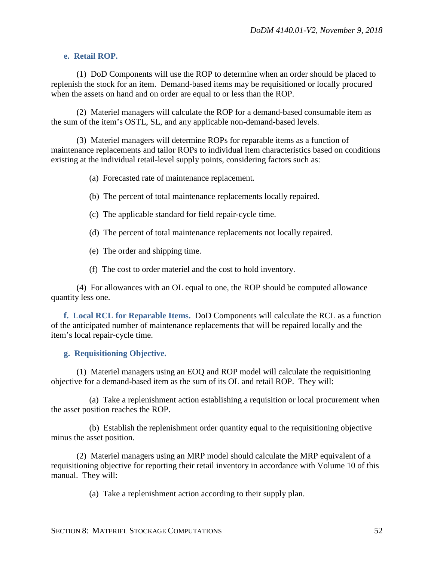#### **e. Retail ROP.**

(1) DoD Components will use the ROP to determine when an order should be placed to replenish the stock for an item. Demand-based items may be requisitioned or locally procured when the assets on hand and on order are equal to or less than the ROP.

(2) Materiel managers will calculate the ROP for a demand-based consumable item as the sum of the item's OSTL, SL, and any applicable non-demand-based levels.

(3) Materiel managers will determine ROPs for reparable items as a function of maintenance replacements and tailor ROPs to individual item characteristics based on conditions existing at the individual retail-level supply points, considering factors such as:

(a) Forecasted rate of maintenance replacement.

(b) The percent of total maintenance replacements locally repaired.

(c) The applicable standard for field repair-cycle time.

(d) The percent of total maintenance replacements not locally repaired.

(e) The order and shipping time.

(f) The cost to order materiel and the cost to hold inventory.

(4) For allowances with an OL equal to one, the ROP should be computed allowance quantity less one.

**f. Local RCL for Reparable Items.** DoD Components will calculate the RCL as a function of the anticipated number of maintenance replacements that will be repaired locally and the item's local repair-cycle time.

#### **g. Requisitioning Objective.**

(1) Materiel managers using an EOQ and ROP model will calculate the requisitioning objective for a demand-based item as the sum of its OL and retail ROP. They will:

(a) Take a replenishment action establishing a requisition or local procurement when the asset position reaches the ROP.

(b) Establish the replenishment order quantity equal to the requisitioning objective minus the asset position.

(2) Materiel managers using an MRP model should calculate the MRP equivalent of a requisitioning objective for reporting their retail inventory in accordance with Volume 10 of this manual. They will:

(a) Take a replenishment action according to their supply plan.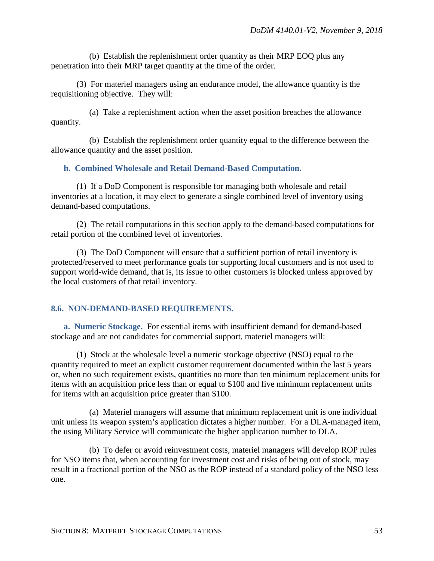(b) Establish the replenishment order quantity as their MRP EOQ plus any penetration into their MRP target quantity at the time of the order.

(3) For materiel managers using an endurance model, the allowance quantity is the requisitioning objective. They will:

(a) Take a replenishment action when the asset position breaches the allowance quantity.

(b) Establish the replenishment order quantity equal to the difference between the allowance quantity and the asset position.

## **h. Combined Wholesale and Retail Demand-Based Computation.**

(1) If a DoD Component is responsible for managing both wholesale and retail inventories at a location, it may elect to generate a single combined level of inventory using demand-based computations.

(2) The retail computations in this section apply to the demand-based computations for retail portion of the combined level of inventories.

(3) The DoD Component will ensure that a sufficient portion of retail inventory is protected/reserved to meet performance goals for supporting local customers and is not used to support world-wide demand, that is, its issue to other customers is blocked unless approved by the local customers of that retail inventory.

## **8.6. NON-DEMAND-BASED REQUIREMENTS.**

**a. Numeric Stockage.** For essential items with insufficient demand for demand-based stockage and are not candidates for commercial support, materiel managers will:

(1) Stock at the wholesale level a numeric stockage objective (NSO) equal to the quantity required to meet an explicit customer requirement documented within the last 5 years or, when no such requirement exists, quantities no more than ten minimum replacement units for items with an acquisition price less than or equal to \$100 and five minimum replacement units for items with an acquisition price greater than \$100.

(a) Materiel managers will assume that minimum replacement unit is one individual unit unless its weapon system's application dictates a higher number. For a DLA-managed item, the using Military Service will communicate the higher application number to DLA.

(b) To defer or avoid reinvestment costs, materiel managers will develop ROP rules for NSO items that, when accounting for investment cost and risks of being out of stock, may result in a fractional portion of the NSO as the ROP instead of a standard policy of the NSO less one.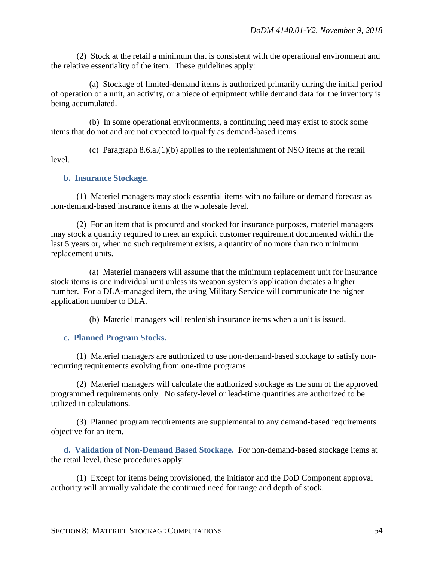(2) Stock at the retail a minimum that is consistent with the operational environment and the relative essentiality of the item. These guidelines apply:

(a) Stockage of limited-demand items is authorized primarily during the initial period of operation of a unit, an activity, or a piece of equipment while demand data for the inventory is being accumulated.

(b) In some operational environments, a continuing need may exist to stock some items that do not and are not expected to qualify as demand-based items.

(c) Paragraph  $8.6.a.(1)(b)$  applies to the replenishment of NSO items at the retail level.

#### **b. Insurance Stockage.**

(1) Materiel managers may stock essential items with no failure or demand forecast as non-demand-based insurance items at the wholesale level.

(2) For an item that is procured and stocked for insurance purposes, materiel managers may stock a quantity required to meet an explicit customer requirement documented within the last 5 years or, when no such requirement exists, a quantity of no more than two minimum replacement units.

(a) Materiel managers will assume that the minimum replacement unit for insurance stock items is one individual unit unless its weapon system's application dictates a higher number. For a DLA-managed item, the using Military Service will communicate the higher application number to DLA.

(b) Materiel managers will replenish insurance items when a unit is issued.

#### **c. Planned Program Stocks.**

(1) Materiel managers are authorized to use non-demand-based stockage to satisfy nonrecurring requirements evolving from one-time programs.

(2) Materiel managers will calculate the authorized stockage as the sum of the approved programmed requirements only. No safety-level or lead-time quantities are authorized to be utilized in calculations.

(3) Planned program requirements are supplemental to any demand-based requirements objective for an item.

**d. Validation of Non-Demand Based Stockage.** For non-demand-based stockage items at the retail level, these procedures apply:

(1) Except for items being provisioned, the initiator and the DoD Component approval authority will annually validate the continued need for range and depth of stock.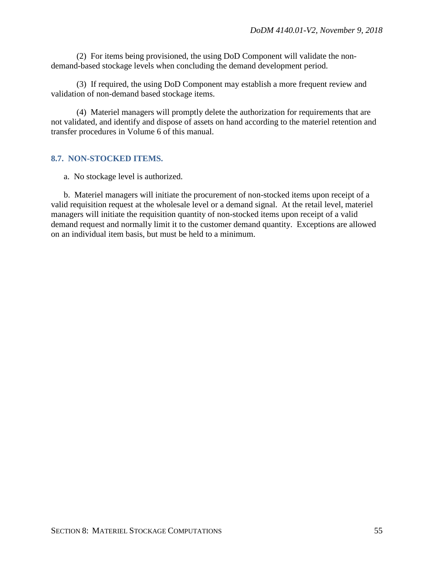(2) For items being provisioned, the using DoD Component will validate the nondemand-based stockage levels when concluding the demand development period.

(3) If required, the using DoD Component may establish a more frequent review and validation of non-demand based stockage items.

(4) Materiel managers will promptly delete the authorization for requirements that are not validated, and identify and dispose of assets on hand according to the materiel retention and transfer procedures in Volume 6 of this manual.

## **8.7. NON-STOCKED ITEMS.**

a. No stockage level is authorized.

b. Materiel managers will initiate the procurement of non-stocked items upon receipt of a valid requisition request at the wholesale level or a demand signal. At the retail level, materiel managers will initiate the requisition quantity of non-stocked items upon receipt of a valid demand request and normally limit it to the customer demand quantity. Exceptions are allowed on an individual item basis, but must be held to a minimum.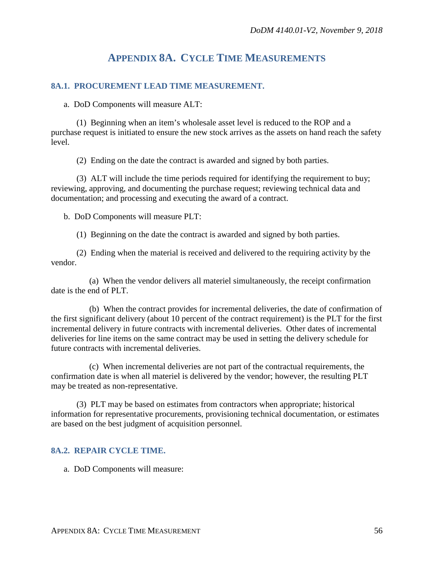## **APPENDIX 8A. CYCLE TIME MEASUREMENTS**

## **8A.1. PROCUREMENT LEAD TIME MEASUREMENT.**

a. DoD Components will measure ALT:

(1) Beginning when an item's wholesale asset level is reduced to the ROP and a purchase request is initiated to ensure the new stock arrives as the assets on hand reach the safety level.

(2) Ending on the date the contract is awarded and signed by both parties.

(3) ALT will include the time periods required for identifying the requirement to buy; reviewing, approving, and documenting the purchase request; reviewing technical data and documentation; and processing and executing the award of a contract.

b. DoD Components will measure PLT:

(1) Beginning on the date the contract is awarded and signed by both parties.

(2) Ending when the material is received and delivered to the requiring activity by the vendor.

(a) When the vendor delivers all materiel simultaneously, the receipt confirmation date is the end of PLT.

(b) When the contract provides for incremental deliveries, the date of confirmation of the first significant delivery (about 10 percent of the contract requirement) is the PLT for the first incremental delivery in future contracts with incremental deliveries. Other dates of incremental deliveries for line items on the same contract may be used in setting the delivery schedule for future contracts with incremental deliveries.

(c) When incremental deliveries are not part of the contractual requirements, the confirmation date is when all materiel is delivered by the vendor; however, the resulting PLT may be treated as non-representative.

(3) PLT may be based on estimates from contractors when appropriate; historical information for representative procurements, provisioning technical documentation, or estimates are based on the best judgment of acquisition personnel.

#### **8A.2. REPAIR CYCLE TIME.**

a. DoD Components will measure: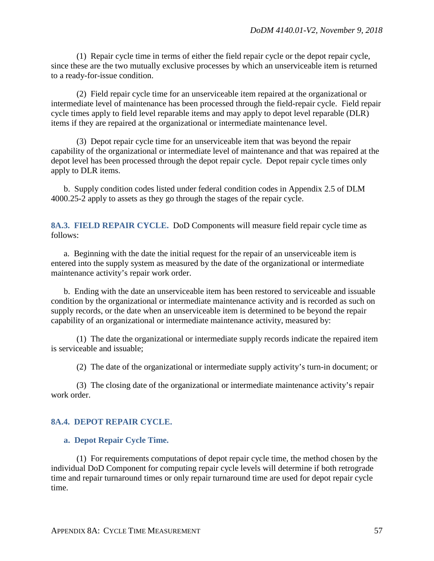(1) Repair cycle time in terms of either the field repair cycle or the depot repair cycle, since these are the two mutually exclusive processes by which an unserviceable item is returned to a ready-for-issue condition.

(2) Field repair cycle time for an unserviceable item repaired at the organizational or intermediate level of maintenance has been processed through the field-repair cycle. Field repair cycle times apply to field level reparable items and may apply to depot level reparable (DLR) items if they are repaired at the organizational or intermediate maintenance level.

(3) Depot repair cycle time for an unserviceable item that was beyond the repair capability of the organizational or intermediate level of maintenance and that was repaired at the depot level has been processed through the depot repair cycle. Depot repair cycle times only apply to DLR items.

b. Supply condition codes listed under federal condition codes in Appendix 2.5 of DLM 4000.25-2 apply to assets as they go through the stages of the repair cycle.

**8A.3. FIELD REPAIR CYCLE.** DoD Components will measure field repair cycle time as follows:

a. Beginning with the date the initial request for the repair of an unserviceable item is entered into the supply system as measured by the date of the organizational or intermediate maintenance activity's repair work order.

b. Ending with the date an unserviceable item has been restored to serviceable and issuable condition by the organizational or intermediate maintenance activity and is recorded as such on supply records, or the date when an unserviceable item is determined to be beyond the repair capability of an organizational or intermediate maintenance activity, measured by:

(1) The date the organizational or intermediate supply records indicate the repaired item is serviceable and issuable;

(2) The date of the organizational or intermediate supply activity's turn-in document; or

(3) The closing date of the organizational or intermediate maintenance activity's repair work order.

## **8A.4. DEPOT REPAIR CYCLE.**

## **a. Depot Repair Cycle Time.**

(1) For requirements computations of depot repair cycle time, the method chosen by the individual DoD Component for computing repair cycle levels will determine if both retrograde time and repair turnaround times or only repair turnaround time are used for depot repair cycle time.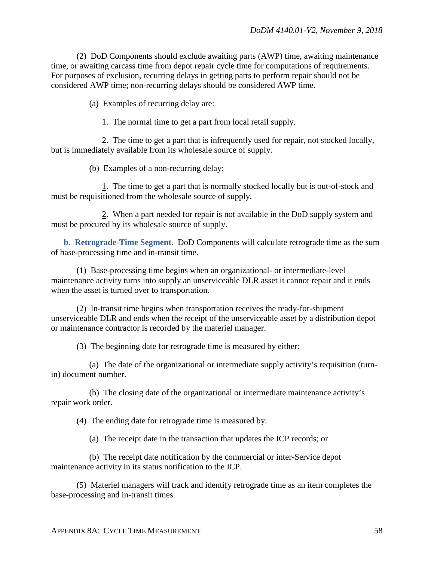(2) DoD Components should exclude awaiting parts (AWP) time, awaiting maintenance time, or awaiting carcass time from depot repair cycle time for computations of requirements. For purposes of exclusion, recurring delays in getting parts to perform repair should not be considered AWP time; non-recurring delays should be considered AWP time.

(a) Examples of recurring delay are:

1. The normal time to get a part from local retail supply.

2. The time to get a part that is infrequently used for repair, not stocked locally, but is immediately available from its wholesale source of supply.

(b) Examples of a non-recurring delay:

1. The time to get a part that is normally stocked locally but is out-of-stock and must be requisitioned from the wholesale source of supply.

2. When a part needed for repair is not available in the DoD supply system and must be procured by its wholesale source of supply.

**b. Retrograde-Time Segment.** DoD Components will calculate retrograde time as the sum of base-processing time and in-transit time.

(1) Base-processing time begins when an organizational- or intermediate-level maintenance activity turns into supply an unserviceable DLR asset it cannot repair and it ends when the asset is turned over to transportation.

(2) In-transit time begins when transportation receives the ready-for-shipment unserviceable DLR and ends when the receipt of the unserviceable asset by a distribution depot or maintenance contractor is recorded by the materiel manager.

(3) The beginning date for retrograde time is measured by either:

(a) The date of the organizational or intermediate supply activity's requisition (turnin) document number.

(b) The closing date of the organizational or intermediate maintenance activity's repair work order.

(4) The ending date for retrograde time is measured by:

(a) The receipt date in the transaction that updates the ICP records; or

(b) The receipt date notification by the commercial or inter-Service depot maintenance activity in its status notification to the ICP.

(5) Materiel managers will track and identify retrograde time as an item completes the base-processing and in-transit times.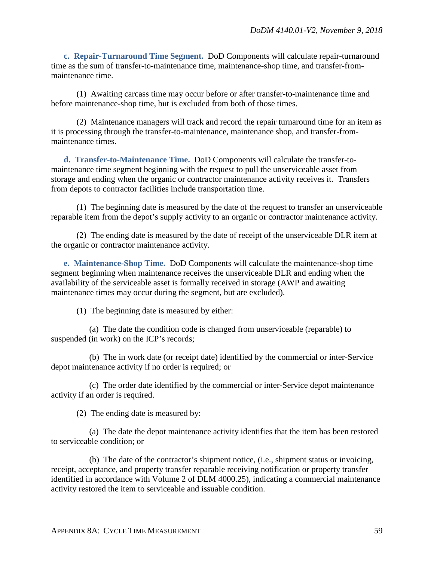**c. Repair-Turnaround Time Segment.** DoD Components will calculate repair-turnaround time as the sum of transfer-to-maintenance time, maintenance-shop time, and transfer-frommaintenance time.

(1) Awaiting carcass time may occur before or after transfer-to-maintenance time and before maintenance-shop time, but is excluded from both of those times.

(2) Maintenance managers will track and record the repair turnaround time for an item as it is processing through the transfer-to-maintenance, maintenance shop, and transfer-frommaintenance times.

**d. Transfer-to-Maintenance Time.** DoD Components will calculate the transfer-tomaintenance time segment beginning with the request to pull the unserviceable asset from storage and ending when the organic or contractor maintenance activity receives it. Transfers from depots to contractor facilities include transportation time.

(1) The beginning date is measured by the date of the request to transfer an unserviceable reparable item from the depot's supply activity to an organic or contractor maintenance activity.

(2) The ending date is measured by the date of receipt of the unserviceable DLR item at the organic or contractor maintenance activity.

**e. Maintenance-Shop Time.** DoD Components will calculate the maintenance-shop time segment beginning when maintenance receives the unserviceable DLR and ending when the availability of the serviceable asset is formally received in storage (AWP and awaiting maintenance times may occur during the segment, but are excluded).

(1) The beginning date is measured by either:

(a) The date the condition code is changed from unserviceable (reparable) to suspended (in work) on the ICP's records;

(b) The in work date (or receipt date) identified by the commercial or inter-Service depot maintenance activity if no order is required; or

(c) The order date identified by the commercial or inter-Service depot maintenance activity if an order is required.

(2) The ending date is measured by:

(a) The date the depot maintenance activity identifies that the item has been restored to serviceable condition; or

(b) The date of the contractor's shipment notice, (i.e., shipment status or invoicing, receipt, acceptance, and property transfer reparable receiving notification or property transfer identified in accordance with Volume 2 of DLM 4000.25), indicating a commercial maintenance activity restored the item to serviceable and issuable condition.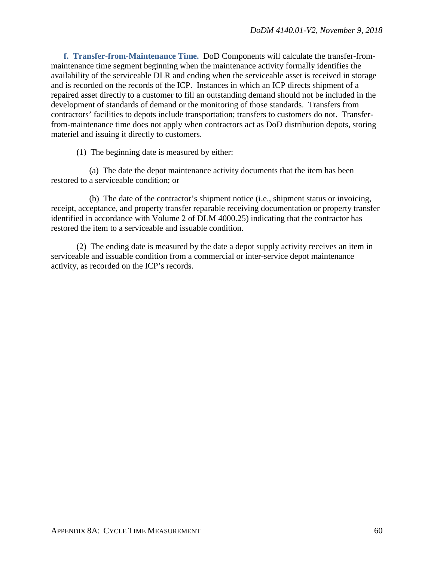**f. Transfer-from-Maintenance Time.** DoD Components will calculate the transfer-frommaintenance time segment beginning when the maintenance activity formally identifies the availability of the serviceable DLR and ending when the serviceable asset is received in storage and is recorded on the records of the ICP. Instances in which an ICP directs shipment of a repaired asset directly to a customer to fill an outstanding demand should not be included in the development of standards of demand or the monitoring of those standards. Transfers from contractors' facilities to depots include transportation; transfers to customers do not. Transferfrom-maintenance time does not apply when contractors act as DoD distribution depots, storing materiel and issuing it directly to customers.

(1) The beginning date is measured by either:

(a) The date the depot maintenance activity documents that the item has been restored to a serviceable condition; or

(b) The date of the contractor's shipment notice (i.e., shipment status or invoicing, receipt, acceptance, and property transfer reparable receiving documentation or property transfer identified in accordance with Volume 2 of DLM 4000.25) indicating that the contractor has restored the item to a serviceable and issuable condition.

(2) The ending date is measured by the date a depot supply activity receives an item in serviceable and issuable condition from a commercial or inter-service depot maintenance activity, as recorded on the ICP's records.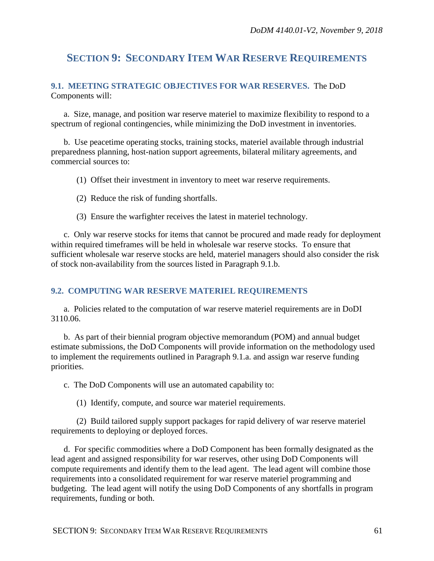## **SECTION 9: SECONDARY ITEM WAR RESERVE REQUIREMENTS**

## **9.1. MEETING STRATEGIC OBJECTIVES FOR WAR RESERVES.** The DoD Components will:

a. Size, manage, and position war reserve materiel to maximize flexibility to respond to a spectrum of regional contingencies, while minimizing the DoD investment in inventories.

b. Use peacetime operating stocks, training stocks, materiel available through industrial preparedness planning, host-nation support agreements, bilateral military agreements, and commercial sources to:

- (1) Offset their investment in inventory to meet war reserve requirements.
- (2) Reduce the risk of funding shortfalls.
- (3) Ensure the warfighter receives the latest in materiel technology.

c. Only war reserve stocks for items that cannot be procured and made ready for deployment within required timeframes will be held in wholesale war reserve stocks. To ensure that sufficient wholesale war reserve stocks are held, materiel managers should also consider the risk of stock non-availability from the sources listed in Paragraph 9.1.b.

#### **9.2. COMPUTING WAR RESERVE MATERIEL REQUIREMENTS**

a. Policies related to the computation of war reserve materiel requirements are in DoDI 3110.06.

b. As part of their biennial program objective memorandum (POM) and annual budget estimate submissions, the DoD Components will provide information on the methodology used to implement the requirements outlined in Paragraph 9.1.a. and assign war reserve funding priorities.

c. The DoD Components will use an automated capability to:

(1) Identify, compute, and source war materiel requirements.

(2) Build tailored supply support packages for rapid delivery of war reserve materiel requirements to deploying or deployed forces.

d. For specific commodities where a DoD Component has been formally designated as the lead agent and assigned responsibility for war reserves, other using DoD Components will compute requirements and identify them to the lead agent. The lead agent will combine those requirements into a consolidated requirement for war reserve materiel programming and budgeting. The lead agent will notify the using DoD Components of any shortfalls in program requirements, funding or both.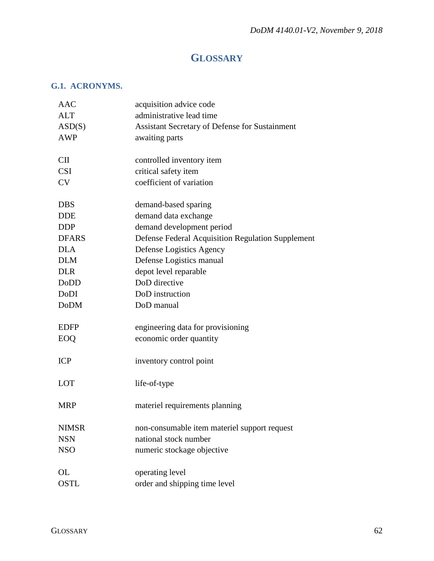# **GLOSSARY**

## **G.1. ACRONYMS.**

| AAC          | acquisition advice code                           |
|--------------|---------------------------------------------------|
| <b>ALT</b>   | administrative lead time                          |
| ASD(S)       | Assistant Secretary of Defense for Sustainment    |
| <b>AWP</b>   | awaiting parts                                    |
|              |                                                   |
| <b>CII</b>   | controlled inventory item                         |
| <b>CSI</b>   | critical safety item                              |
| <b>CV</b>    | coefficient of variation                          |
| <b>DBS</b>   | demand-based sparing                              |
| <b>DDE</b>   | demand data exchange                              |
| <b>DDP</b>   | demand development period                         |
| <b>DFARS</b> | Defense Federal Acquisition Regulation Supplement |
| <b>DLA</b>   | Defense Logistics Agency                          |
| <b>DLM</b>   | Defense Logistics manual                          |
| <b>DLR</b>   | depot level reparable                             |
| DoDD         | DoD directive                                     |
| DoDI         | DoD instruction                                   |
| <b>DoDM</b>  | DoD manual                                        |
|              |                                                   |
| <b>EDFP</b>  | engineering data for provisioning                 |
| EOQ          | economic order quantity                           |
|              |                                                   |
| <b>ICP</b>   | inventory control point                           |
|              |                                                   |
| <b>LOT</b>   | life-of-type                                      |
| <b>MRP</b>   | materiel requirements planning                    |
|              |                                                   |
| <b>NIMSR</b> | non-consumable item materiel support request      |
| <b>NSN</b>   | national stock number                             |
| <b>NSO</b>   | numeric stockage objective                        |
|              |                                                   |
| OL           | operating level                                   |
| <b>OSTL</b>  | order and shipping time level                     |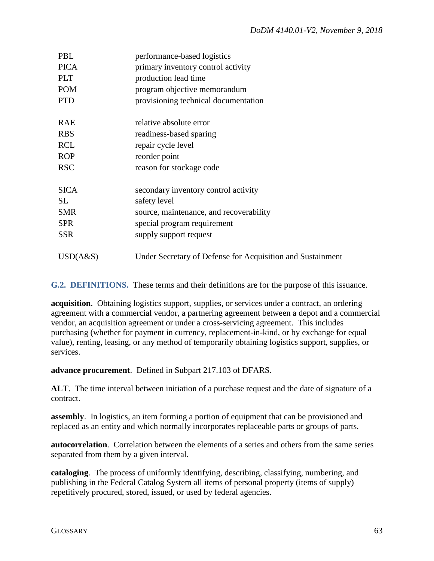| PBL         | performance-based logistics                                |
|-------------|------------------------------------------------------------|
| <b>PICA</b> | primary inventory control activity                         |
| <b>PLT</b>  | production lead time                                       |
| <b>POM</b>  | program objective memorandum                               |
| <b>PTD</b>  | provisioning technical documentation                       |
| <b>RAE</b>  | relative absolute error                                    |
| <b>RBS</b>  | readiness-based sparing                                    |
| <b>RCL</b>  | repair cycle level                                         |
| <b>ROP</b>  | reorder point                                              |
| <b>RSC</b>  | reason for stockage code                                   |
| <b>SICA</b> | secondary inventory control activity                       |
| <b>SL</b>   | safety level                                               |
| <b>SMR</b>  | source, maintenance, and recoverability                    |
| <b>SPR</b>  | special program requirement                                |
| <b>SSR</b>  | supply support request                                     |
| USD(A&S)    | Under Secretary of Defense for Acquisition and Sustainment |

**G.2. DEFINITIONS.** These terms and their definitions are for the purpose of this issuance.

**acquisition**. Obtaining logistics support, supplies, or services under a contract, an ordering agreement with a commercial vendor, a partnering agreement between a depot and a commercial vendor, an acquisition agreement or under a cross-servicing agreement. This includes purchasing (whether for payment in currency, replacement-in-kind, or by exchange for equal value), renting, leasing, or any method of temporarily obtaining logistics support, supplies, or services.

**advance procurement**. Defined in Subpart 217.103 of DFARS.

**ALT**. The time interval between initiation of a purchase request and the date of signature of a contract.

**assembly**. In logistics, an item forming a portion of equipment that can be provisioned and replaced as an entity and which normally incorporates replaceable parts or groups of parts.

**autocorrelation**. Correlation between the elements of a series and others from the same series separated from them by a given interval.

**cataloging**. The process of uniformly identifying, describing, classifying, numbering, and publishing in the Federal Catalog System all items of personal property (items of supply) repetitively procured, stored, issued, or used by federal agencies.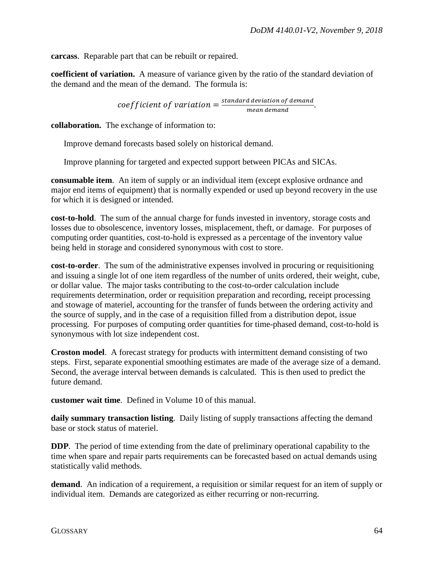**carcass**. Reparable part that can be rebuilt or repaired.

**coefficient of variation.** A measure of variance given by the ratio of the standard deviation of the demand and the mean of the demand. The formula is:

 $coefficient$  of variation  $= \frac{standard\;deviation\; of\; demand}{mean\; demand}.$ 

**collaboration.** The exchange of information to:

Improve demand forecasts based solely on historical demand.

Improve planning for targeted and expected support between PICAs and SICAs.

**consumable item**. An item of supply or an individual item (except explosive ordnance and major end items of equipment) that is normally expended or used up beyond recovery in the use for which it is designed or intended.

**cost-to-hold**. The sum of the annual charge for funds invested in inventory, storage costs and losses due to obsolescence, inventory losses, misplacement, theft, or damage. For purposes of computing order quantities, cost-to-hold is expressed as a percentage of the inventory value being held in storage and considered synonymous with cost to store.

**cost-to-order**. The sum of the administrative expenses involved in procuring or requisitioning and issuing a single lot of one item regardless of the number of units ordered, their weight, cube, or dollar value. The major tasks contributing to the cost-to-order calculation include requirements determination, order or requisition preparation and recording, receipt processing and stowage of materiel, accounting for the transfer of funds between the ordering activity and the source of supply, and in the case of a requisition filled from a distribution depot, issue processing. For purposes of computing order quantities for time-phased demand, cost-to-hold is synonymous with lot size independent cost.

**Croston model**. A forecast strategy for products with intermittent demand consisting of two steps. First, separate exponential smoothing estimates are made of the average size of a demand. Second, the average interval between demands is calculated. This is then used to predict the future demand.

**customer wait time**. Defined in Volume 10 of this manual.

**daily summary transaction listing**. Daily listing of supply transactions affecting the demand base or stock status of materiel.

**DDP**. The period of time extending from the date of preliminary operational capability to the time when spare and repair parts requirements can be forecasted based on actual demands using statistically valid methods.

**demand**. An indication of a requirement, a requisition or similar request for an item of supply or individual item. Demands are categorized as either recurring or non-recurring.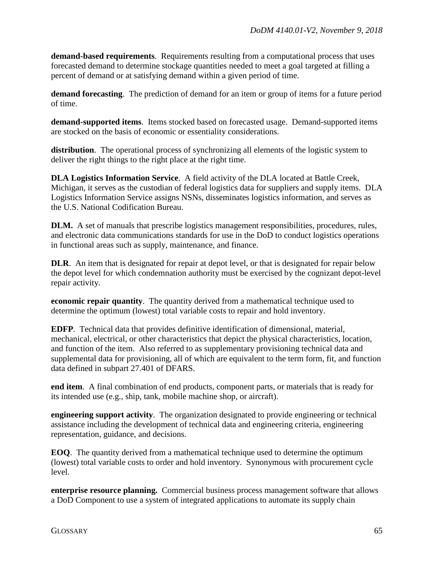**demand-based requirements**. Requirements resulting from a computational process that uses forecasted demand to determine stockage quantities needed to meet a goal targeted at filling a percent of demand or at satisfying demand within a given period of time.

**demand forecasting**. The prediction of demand for an item or group of items for a future period of time.

**demand-supported items**. Items stocked based on forecasted usage. Demand-supported items are stocked on the basis of economic or essentiality considerations.

**distribution**. The operational process of synchronizing all elements of the logistic system to deliver the right things to the right place at the right time.

**DLA Logistics Information Service**. A field activity of the DLA located at Battle Creek, Michigan, it serves as the custodian of federal logistics data for suppliers and supply items. DLA Logistics Information Service assigns NSNs, disseminates logistics information, and serves as the U.S. National Codification Bureau.

**DLM.** A set of manuals that prescribe logistics management responsibilities, procedures, rules, and electronic data communications standards for use in the DoD to conduct logistics operations in functional areas such as supply, maintenance, and finance.

**DLR.** An item that is designated for repair at depot level, or that is designated for repair below the depot level for which condemnation authority must be exercised by the cognizant depot-level repair activity.

**economic repair quantity**. The quantity derived from a mathematical technique used to determine the optimum (lowest) total variable costs to repair and hold inventory.

**EDFP**. Technical data that provides definitive identification of dimensional, material, mechanical, electrical, or other characteristics that depict the physical characteristics, location, and function of the item. Also referred to as supplementary provisioning technical data and supplemental data for provisioning, all of which are equivalent to the term form, fit, and function data defined in subpart 27.401 of DFARS.

**end item**. A final combination of end products, component parts, or materials that is ready for its intended use (e.g., ship, tank, mobile machine shop, or aircraft).

**engineering support activity**. The organization designated to provide engineering or technical assistance including the development of technical data and engineering criteria, engineering representation, guidance, and decisions.

**EOQ**. The quantity derived from a mathematical technique used to determine the optimum (lowest) total variable costs to order and hold inventory. Synonymous with procurement cycle level.

**enterprise resource planning.** Commercial business process management software that allows a DoD Component to use a system of integrated applications to automate its supply chain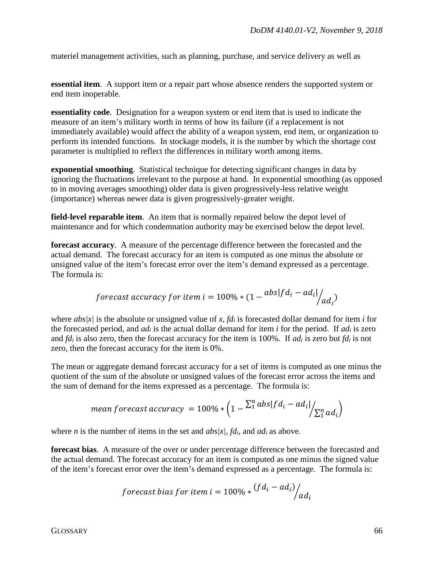materiel management activities, such as planning, purchase, and service delivery as well as

**essential item**. A support item or a repair part whose absence renders the supported system or end item inoperable.

**essentiality code**. Designation for a weapon system or end item that is used to indicate the measure of an item's military worth in terms of how its failure (if a replacement is not immediately available) would affect the ability of a weapon system, end item, or organization to perform its intended functions. In stockage models, it is the number by which the shortage cost parameter is multiplied to reflect the differences in military worth among items.

**exponential smoothing**. Statistical technique for detecting significant changes in data by ignoring the fluctuations irrelevant to the purpose at hand. In exponential smoothing (as opposed to in moving averages smoothing) older data is given progressively-less relative weight (importance) whereas newer data is given progressively-greater weight.

**field-level reparable item**. An item that is normally repaired below the depot level of maintenance and for which condemnation authority may be exercised below the depot level.

**forecast accuracy**. A measure of the percentage difference between the forecasted and the actual demand. The forecast accuracy for an item is computed as one minus the absolute or unsigned value of the item's forecast error over the item's demand expressed as a percentage. The formula is:

$$
forecast accuracy for item i = 100\% * (1 - abs|fd_i - ad_i|/ad_i)
$$

where *abs|x|* is the absolute or unsigned value of *x*, *fdi* is forecasted dollar demand for item *i* for the forecasted period, and *adi* is the actual dollar demand for item *i* for the period. If *adi* is zero and *fdi* is also zero, then the forecast accuracy for the item is 100%. If *adi* is zero but *fdi* is not zero, then the forecast accuracy for the item is 0%.

The mean or aggregate demand forecast accuracy for a set of items is computed as one minus the quotient of the sum of the absolute or unsigned values of the forecast error across the items and the sum of demand for the items expressed as a percentage. The formula is:

$$
mean forecast accuracy = 100\% * \left(1 - \frac{\sum_{1}^{n}abs|fd_i - ad_i|}{\sum_{1}^{n}ad_i}\right)
$$

where *n* is the number of items in the set and *abs|x|*, *fdi*, and *adi* as above*.*

**forecast bias**. A measure of the over or under percentage difference between the forecasted and the actual demand. The forecast accuracy for an item is computed as one minus the signed value of the item's forecast error over the item's demand expressed as a percentage. The formula is:

$$
forecast bias for item i = 100\% * (fdi - adi) / adi
$$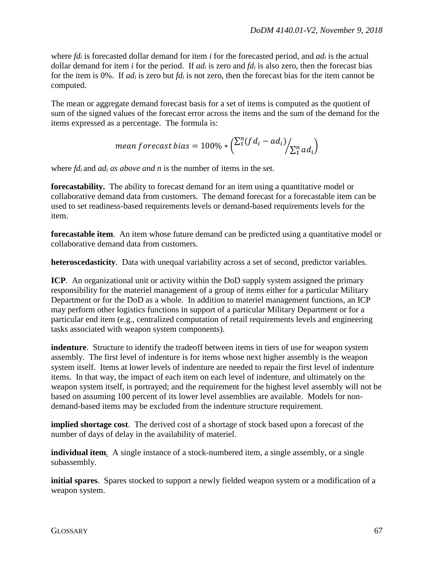where *fdi* is forecasted dollar demand for item *i* for the forecasted period, and *adi* is the actual dollar demand for item *i* for the period. If *adi* is zero and *fdi* is also zero, then the forecast bias for the item is 0%. If *adi* is zero but *fdi* is not zero, then the forecast bias for the item cannot be computed.

The mean or aggregate demand forecast basis for a set of items is computed as the quotient of sum of the signed values of the forecast error across the items and the sum of the demand for the items expressed as a percentage. The formula is:

$$
mean forecast bias = 100\% * \left(\frac{\sum_{i=1}^{n} (fd_i - ad_i)}{\sum_{i=1}^{n} ad_i}\right)
$$

where *fd<sub>i</sub>* and *ad<sub>i</sub>* as above and *n* is the number of items in the set.

**forecastability.** The ability to forecast demand for an item using a quantitative model or collaborative demand data from customers. The demand forecast for a forecastable item can be used to set readiness-based requirements levels or demand-based requirements levels for the item.

**forecastable item**. An item whose future demand can be predicted using a quantitative model or collaborative demand data from customers.

**heteroscedasticity**. Data with unequal variability across a set of second, predictor variables.

**ICP**. An organizational unit or activity within the DoD supply system assigned the primary responsibility for the materiel management of a group of items either for a particular Military Department or for the DoD as a whole. In addition to materiel management functions, an ICP may perform other logistics functions in support of a particular Military Department or for a particular end item (e.g., centralized computation of retail requirements levels and engineering tasks associated with weapon system components).

**indenture**. Structure to identify the tradeoff between items in tiers of use for weapon system assembly. The first level of indenture is for items whose next higher assembly is the weapon system itself. Items at lower levels of indenture are needed to repair the first level of indenture items. In that way, the impact of each item on each level of indenture, and ultimately on the weapon system itself, is portrayed; and the requirement for the highest level assembly will not be based on assuming 100 percent of its lower level assemblies are available. Models for nondemand-based items may be excluded from the indenture structure requirement.

**implied shortage cost**. The derived cost of a shortage of stock based upon a forecast of the number of days of delay in the availability of materiel.

**individual item**. A single instance of a stock-numbered item, a single assembly, or a single subassembly.

**initial spares**. Spares stocked to support a newly fielded weapon system or a modification of a weapon system.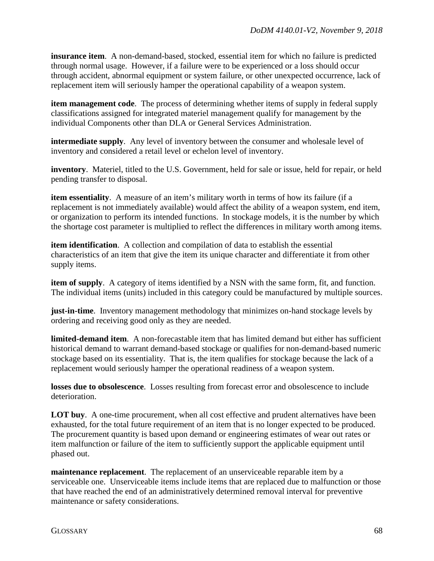**insurance item**. A non-demand-based, stocked, essential item for which no failure is predicted through normal usage. However, if a failure were to be experienced or a loss should occur through accident, abnormal equipment or system failure, or other unexpected occurrence, lack of replacement item will seriously hamper the operational capability of a weapon system.

**item management code**. The process of determining whether items of supply in federal supply classifications assigned for integrated materiel management qualify for management by the individual Components other than DLA or General Services Administration.

**intermediate supply**. Any level of inventory between the consumer and wholesale level of inventory and considered a retail level or echelon level of inventory.

**inventory**. Materiel, titled to the U.S. Government, held for sale or issue, held for repair, or held pending transfer to disposal.

**item essentiality**. A measure of an item's military worth in terms of how its failure (if a replacement is not immediately available) would affect the ability of a weapon system, end item, or organization to perform its intended functions. In stockage models, it is the number by which the shortage cost parameter is multiplied to reflect the differences in military worth among items.

**item identification**. A collection and compilation of data to establish the essential characteristics of an item that give the item its unique character and differentiate it from other supply items.

**item of supply.** A category of items identified by a NSN with the same form, fit, and function. The individual items (units) included in this category could be manufactured by multiple sources.

**just-in-time**. Inventory management methodology that minimizes on-hand stockage levels by ordering and receiving good only as they are needed.

**limited-demand item**. A non-forecastable item that has limited demand but either has sufficient historical demand to warrant demand-based stockage or qualifies for non-demand-based numeric stockage based on its essentiality. That is, the item qualifies for stockage because the lack of a replacement would seriously hamper the operational readiness of a weapon system.

**losses due to obsolescence**. Losses resulting from forecast error and obsolescence to include deterioration.

**LOT buy.** A one-time procurement, when all cost effective and prudent alternatives have been exhausted, for the total future requirement of an item that is no longer expected to be produced. The procurement quantity is based upon demand or engineering estimates of wear out rates or item malfunction or failure of the item to sufficiently support the applicable equipment until phased out.

**maintenance replacement**. The replacement of an unserviceable reparable item by a serviceable one. Unserviceable items include items that are replaced due to malfunction or those that have reached the end of an administratively determined removal interval for preventive maintenance or safety considerations.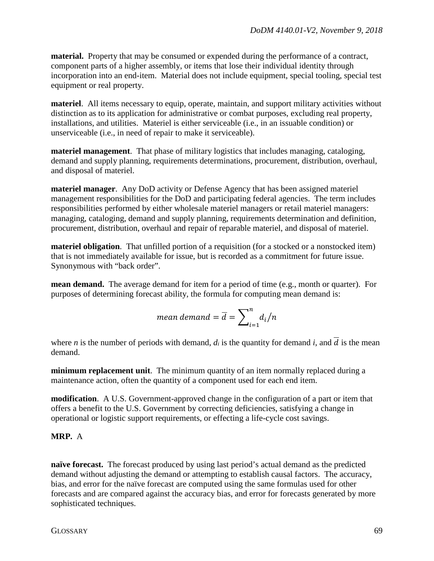**material.** Property that may be consumed or expended during the performance of a contract, component parts of a higher assembly, or items that lose their individual identity through incorporation into an end-item. Material does not include equipment, special tooling, special test equipment or real property.

**materiel**. All items necessary to equip, operate, maintain, and support military activities without distinction as to its application for administrative or combat purposes, excluding real property, installations, and utilities. Materiel is either serviceable (i.e., in an issuable condition) or unserviceable (i.e., in need of repair to make it serviceable).

**materiel management**. That phase of military logistics that includes managing, cataloging, demand and supply planning, requirements determinations, procurement, distribution, overhaul, and disposal of materiel.

**materiel manager**. Any DoD activity or Defense Agency that has been assigned materiel management responsibilities for the DoD and participating federal agencies. The term includes responsibilities performed by either wholesale materiel managers or retail materiel managers: managing, cataloging, demand and supply planning, requirements determination and definition, procurement, distribution, overhaul and repair of reparable materiel, and disposal of materiel.

**materiel obligation**. That unfilled portion of a requisition (for a stocked or a nonstocked item) that is not immediately available for issue, but is recorded as a commitment for future issue. Synonymous with "back order".

**mean demand.** The average demand for item for a period of time (e.g., month or quarter). For purposes of determining forecast ability, the formula for computing mean demand is:

$$
mean\, demand = \overline{d} = \sum_{i=1}^{n} d_i / n
$$

where *n* is the number of periods with demand,  $d_i$  is the quantity for demand *i*, and  $\overline{d}$  is the mean demand.

**minimum replacement unit**. The minimum quantity of an item normally replaced during a maintenance action, often the quantity of a component used for each end item.

**modification**. A U.S. Government-approved change in the configuration of a part or item that offers a benefit to the U.S. Government by correcting deficiencies, satisfying a change in operational or logistic support requirements, or effecting a life-cycle cost savings.

## **MRP.** A computer-based in ventory management system designed to assist managers in  $\mathbb{R}^n$

**naïve forecast.** The forecast produced by using last period's actual demand as the predicted demand without adjusting the demand or attempting to establish causal factors. The accuracy, bias, and error for the naïve forecast are computed using the same formulas used for other forecasts and are compared against the accuracy bias, and error for forecasts generated by more sophisticated techniques.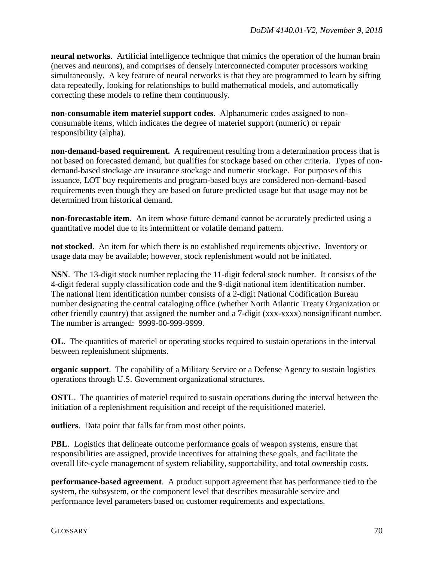**neural networks**. Artificial intelligence technique that mimics the operation of the human brain (nerves and neurons), and comprises of densely interconnected computer processors working simultaneously. A key feature of neural networks is that they are programmed to learn by sifting data repeatedly, looking for relationships to build mathematical models, and automatically correcting these models to refine them continuously.

**non-consumable item materiel support codes**. Alphanumeric codes assigned to nonconsumable items, which indicates the degree of materiel support (numeric) or repair responsibility (alpha).

**non-demand-based requirement.** A requirement resulting from a determination process that is not based on forecasted demand, but qualifies for stockage based on other criteria. Types of nondemand-based stockage are insurance stockage and numeric stockage. For purposes of this issuance, LOT buy requirements and program-based buys are considered non-demand-based requirements even though they are based on future predicted usage but that usage may not be determined from historical demand.

**non-forecastable item**. An item whose future demand cannot be accurately predicted using a quantitative model due to its intermittent or volatile demand pattern.

**not stocked**. An item for which there is no established requirements objective. Inventory or usage data may be available; however, stock replenishment would not be initiated.

**NSN**. The 13-digit stock number replacing the 11-digit federal stock number. It consists of the 4-digit federal supply classification code and the 9-digit national item identification number. The national item identification number consists of a 2-digit National Codification Bureau number designating the central cataloging office (whether North Atlantic Treaty Organization or other friendly country) that assigned the number and a 7-digit (xxx-xxxx) nonsignificant number. The number is arranged: 9999-00-999-9999.

**OL.** The quantities of materiel or operating stocks required to sustain operations in the interval between replenishment shipments.

**organic support**. The capability of a Military Service or a Defense Agency to sustain logistics operations through U.S. Government organizational structures.

**OSTL**. The quantities of materiel required to sustain operations during the interval between the initiation of a replenishment requisition and receipt of the requisitioned materiel.

**outliers**. Data point that falls far from most other points.

**PBL**. Logistics that delineate outcome performance goals of weapon systems, ensure that responsibilities are assigned, provide incentives for attaining these goals, and facilitate the overall life-cycle management of system reliability, supportability, and total ownership costs.

**performance-based agreement**. A product support agreement that has performance tied to the system, the subsystem, or the component level that describes measurable service and performance level parameters based on customer requirements and expectations.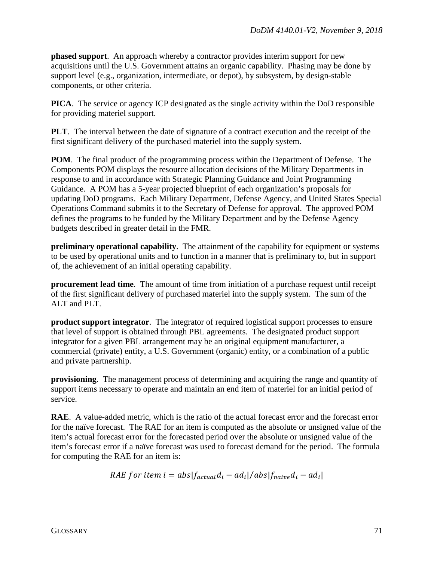**phased support**. An approach whereby a contractor provides interim support for new acquisitions until the U.S. Government attains an organic capability. Phasing may be done by support level (e.g., organization, intermediate, or depot), by subsystem, by design-stable components, or other criteria.

**PICA**. The service or agency ICP designated as the single activity within the DoD responsible for providing materiel support.

**PLT**. The interval between the date of signature of a contract execution and the receipt of the first significant delivery of the purchased materiel into the supply system.

**POM**. The final product of the programming process within the Department of Defense. The Components POM displays the resource allocation decisions of the Military Departments in response to and in accordance with Strategic Planning Guidance and Joint Programming Guidance. A POM has a 5-year projected blueprint of each organization's proposals for updating DoD programs. Each Military Department, Defense Agency, and United States Special Operations Command submits it to the Secretary of Defense for approval. The approved POM defines the programs to be funded by the Military Department and by the Defense Agency budgets described in greater detail in the FMR.

**preliminary operational capability**. The attainment of the capability for equipment or systems to be used by operational units and to function in a manner that is preliminary to, but in support of, the achievement of an initial operating capability.

**procurement lead time**. The amount of time from initiation of a purchase request until receipt of the first significant delivery of purchased materiel into the supply system. The sum of the ALT and PLT.

**product support integrator**. The integrator of required logistical support processes to ensure that level of support is obtained through PBL agreements. The designated product support integrator for a given PBL arrangement may be an original equipment manufacturer, a commercial (private) entity, a U.S. Government (organic) entity, or a combination of a public and private partnership.

**provisioning**. The management process of determining and acquiring the range and quantity of support items necessary to operate and maintain an end item of materiel for an initial period of service.

**RAE**. A value-added metric, which is the ratio of the actual forecast error and the forecast error for the naïve forecast. The RAE for an item is computed as the absolute or unsigned value of the item's actual forecast error for the forecasted period over the absolute or unsigned value of the item's forecast error if a naïve forecast was used to forecast demand for the period. The formula for computing the RAE for an item is:

RAE for item 
$$
i = abs|f_{actual}d_i - ad_i|/abs|f_{naive}d_i - ad_i|
$$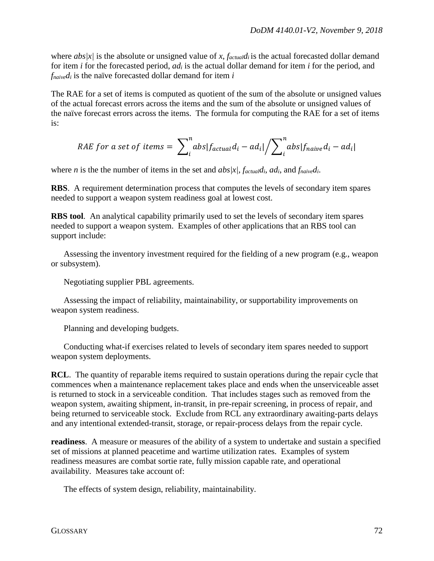where *abs*/*x*/ is the absolute or unsigned value of *x*, *f<sub>actual</sub> d*<sup>*i*</sup> is the actual forecasted dollar demand for item *i* for the forecasted period, *adi* is the actual dollar demand for item *i* for the period, and *fnaivedi* is the naïve forecasted dollar demand for item *i* 

The RAE for a set of items is computed as quotient of the sum of the absolute or unsigned values of the actual forecast errors across the items and the sum of the absolute or unsigned values of the naïve forecast errors across the items. The formula for computing the RAE for a set of items is:

$$
RAE for a set of items = \sum_{i}^{n}abs|f_{actual}d_i - ad_i| / \sum_{i}^{n}abs|f_{naive}d_i - ad_i|
$$

where *n* is the the number of items in the set and *abs|x|, factualdi*, *adi*, and *fnaivedi*.

**RBS**. A requirement determination process that computes the levels of secondary item spares needed to support a weapon system readiness goal at lowest cost.

**RBS tool**. An analytical capability primarily used to set the levels of secondary item spares needed to support a weapon system. Examples of other applications that an RBS tool can support include:

 Assessing the inventory investment required for the fielding of a new program (e.g., weapon or subsystem).

Negotiating supplier PBL agreements.

Assessing the impact of reliability, maintainability, or supportability improvements on weapon system readiness.

Planning and developing budgets.

 Conducting what-if exercises related to levels of secondary item spares needed to support weapon system deployments.

**RCL.** The quantity of reparable items required to sustain operations during the repair cycle that commences when a maintenance replacement takes place and ends when the unserviceable asset is returned to stock in a serviceable condition. That includes stages such as removed from the weapon system, awaiting shipment, in-transit, in pre-repair screening, in process of repair, and being returned to serviceable stock. Exclude from RCL any extraordinary awaiting-parts delays and any intentional extended-transit, storage, or repair-process delays from the repair cycle.

**readiness**. A measure or measures of the ability of a system to undertake and sustain a specified set of missions at planned peacetime and wartime utilization rates. Examples of system readiness measures are combat sortie rate, fully mission capable rate, and operational availability. Measures take account of:

The effects of system design, reliability, maintainability.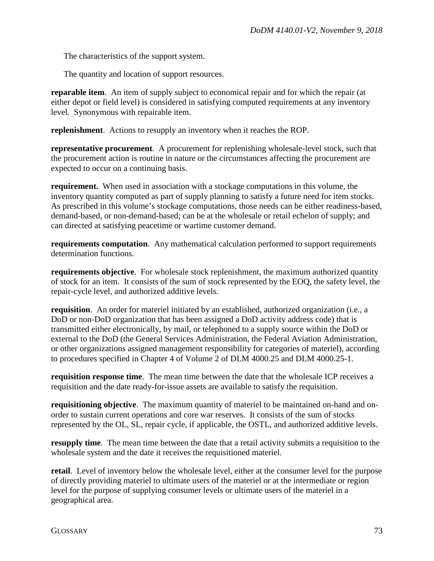The characteristics of the support system.

The quantity and location of support resources.

**reparable item.** An item of supply subject to economical repair and for which the repair (at either depot or field level) is considered in satisfying computed requirements at any inventory level. Synonymous with repairable item.

**replenishment**. Actions to resupply an inventory when it reaches the ROP.

**representative procurement**. A procurement for replenishing wholesale-level stock, such that the procurement action is routine in nature or the circumstances affecting the procurement are expected to occur on a continuing basis.

**requirement.** When used in association with a stockage computations in this volume, the inventory quantity computed as part of supply planning to satisfy a future need for item stocks. As prescribed in this volume's stockage computations, those needs can be either readiness-based, demand-based, or non-demand-based; can be at the wholesale or retail echelon of supply; and can directed at satisfying peacetime or wartime customer demand.

**requirements computation**. Any mathematical calculation performed to support requirements determination functions.

**requirements objective**. For wholesale stock replenishment, the maximum authorized quantity of stock for an item. It consists of the sum of stock represented by the EOQ, the safety level, the repair-cycle level, and authorized additive levels.

**requisition**. An order for materiel initiated by an established, authorized organization (i.e., a DoD or non-DoD organization that has been assigned a DoD activity address code) that is transmitted either electronically, by mail, or telephoned to a supply source within the DoD or external to the DoD (the General Services Administration, the Federal Aviation Administration, or other organizations assigned management responsibility for categories of materiel), according to procedures specified in Chapter 4 of Volume 2 of DLM 4000.25 and DLM 4000.25-1.

**requisition response time**. The mean time between the date that the wholesale ICP receives a requisition and the date ready-for-issue assets are available to satisfy the requisition.

**requisitioning objective**. The maximum quantity of materiel to be maintained on-hand and onorder to sustain current operations and core war reserves. It consists of the sum of stocks represented by the OL, SL, repair cycle, if applicable, the OSTL, and authorized additive levels.

**resupply time**. The mean time between the date that a retail activity submits a requisition to the wholesale system and the date it receives the requisitioned materiel.

**retail**. Level of inventory below the wholesale level, either at the consumer level for the purpose of directly providing materiel to ultimate users of the materiel or at the intermediate or region level for the purpose of supplying consumer levels or ultimate users of the materiel in a geographical area.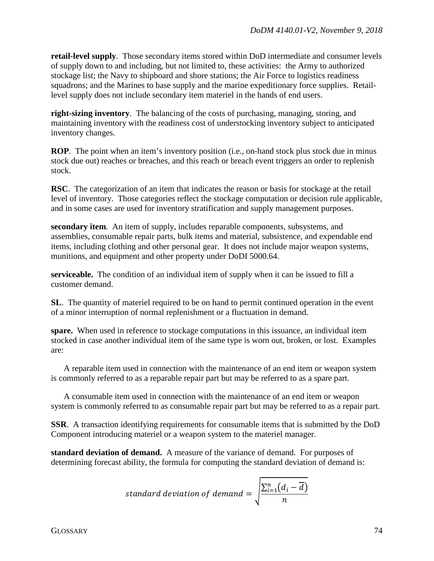**retail-level supply**. Those secondary items stored within DoD intermediate and consumer levels of supply down to and including, but not limited to, these activities: the Army to authorized stockage list; the Navy to shipboard and shore stations; the Air Force to logistics readiness squadrons; and the Marines to base supply and the marine expeditionary force supplies. Retaillevel supply does not include secondary item materiel in the hands of end users.

**right-sizing inventory**. The balancing of the costs of purchasing, managing, storing, and maintaining inventory with the readiness cost of understocking inventory subject to anticipated inventory changes.

**ROP.** The point when an item's inventory position (i.e., on-hand stock plus stock due in minus stock due out) reaches or breaches, and this reach or breach event triggers an order to replenish stock.

**RSC**. The categorization of an item that indicates the reason or basis for stockage at the retail level of inventory. Those categories reflect the stockage computation or decision rule applicable, and in some cases are used for inventory stratification and supply management purposes.

**secondary item**. An item of supply, includes reparable components, subsystems, and assemblies, consumable repair parts, bulk items and material, subsistence, and expendable end items, including clothing and other personal gear. It does not include major weapon systems, munitions, and equipment and other property under DoDI 5000.64.

**serviceable.** The condition of an individual item of supply when it can be issued to fill a customer demand.

**SL**. The quantity of materiel required to be on hand to permit continued operation in the event of a minor interruption of normal replenishment or a fluctuation in demand.

**spare.** When used in reference to stockage computations in this issuance, an individual item stocked in case another individual item of the same type is worn out, broken, or lost. Examples are:

A reparable item used in connection with the maintenance of an end item or weapon system is commonly referred to as a reparable repair part but may be referred to as a spare part.

 A consumable item used in connection with the maintenance of an end item or weapon system is commonly referred to as consumable repair part but may be referred to as a repair part.

**SSR**. A transaction identifying requirements for consumable items that is submitted by the DoD Component introducing materiel or a weapon system to the materiel manager.

**standard deviation of demand.** A measure of the variance of demand. For purposes of determining forecast ability, the formula for computing the standard deviation of demand is:

$$
standard\;deviation\;of\; demand = \sqrt{\frac{\sum_{i=1}^{n} (d_i - \overline{d})}{n}}
$$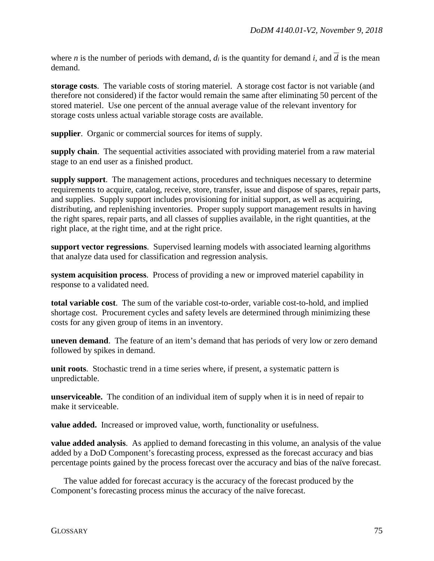where *n* is the number of periods with demand,  $d_i$  is the quantity for demand *i*, and  $\overline{d}$  is the mean demand.

**storage costs**. The variable costs of storing materiel. A storage cost factor is not variable (and therefore not considered) if the factor would remain the same after eliminating 50 percent of the stored materiel. Use one percent of the annual average value of the relevant inventory for storage costs unless actual variable storage costs are available.

**supplier**. Organic or commercial sources for items of supply.

**supply chain**. The sequential activities associated with providing materiel from a raw material stage to an end user as a finished product.

**supply support**. The management actions, procedures and techniques necessary to determine requirements to acquire, catalog, receive, store, transfer, issue and dispose of spares, repair parts, and supplies. Supply support includes provisioning for initial support, as well as acquiring, distributing, and replenishing inventories. Proper supply support management results in having the right spares, repair parts, and all classes of supplies available, in the right quantities, at the right place, at the right time, and at the right price.

**support vector regressions**. Supervised learning models with associated learning algorithms that analyze data used for classification and regression analysis.

**system acquisition process**. Process of providing a new or improved materiel capability in response to a validated need.

**total variable cost**. The sum of the variable cost-to-order, variable cost-to-hold, and implied shortage cost. Procurement cycles and safety levels are determined through minimizing these costs for any given group of items in an inventory.

**uneven demand**. The feature of an item's demand that has periods of very low or zero demand followed by spikes in demand.

**unit roots**. Stochastic trend in a time series where, if present, a systematic pattern is unpredictable.

**unserviceable.** The condition of an individual item of supply when it is in need of repair to make it serviceable.

**value added.** Increased or improved value, worth, functionality or usefulness.

**value added analysis**. As applied to demand forecasting in this volume, an analysis of the value added by a DoD Component's forecasting process, expressed as the forecast accuracy and bias percentage points gained by the process forecast over the accuracy and bias of the naïve forecast.

 The value added for forecast accuracy is the accuracy of the forecast produced by the Component's forecasting process minus the accuracy of the naïve forecast.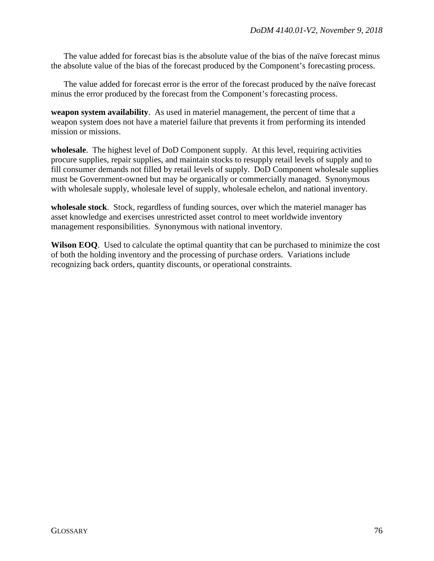The value added for forecast bias is the absolute value of the bias of the naïve forecast minus the absolute value of the bias of the forecast produced by the Component's forecasting process.

The value added for forecast error is the error of the forecast produced by the naïve forecast minus the error produced by the forecast from the Component's forecasting process.

**weapon system availability**. As used in materiel management, the percent of time that a weapon system does not have a materiel failure that prevents it from performing its intended mission or missions.

**wholesale**. The highest level of DoD Component supply. At this level, requiring activities procure supplies, repair supplies, and maintain stocks to resupply retail levels of supply and to fill consumer demands not filled by retail levels of supply. DoD Component wholesale supplies must be Government-owned but may be organically or commercially managed. Synonymous with wholesale supply, wholesale level of supply, wholesale echelon, and national inventory.

**wholesale stock**. Stock, regardless of funding sources, over which the materiel manager has asset knowledge and exercises unrestricted asset control to meet worldwide inventory management responsibilities. Synonymous with national inventory.

**Wilson EOQ**. Used to calculate the optimal quantity that can be purchased to minimize the cost of both the holding inventory and the processing of purchase orders. Variations include recognizing back orders, quantity discounts, or operational constraints.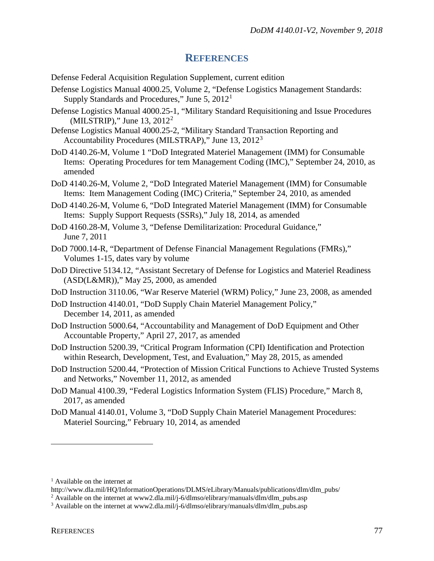## **REFERENCES**

Defense Federal Acquisition Regulation Supplement, current edition

- Defense Logistics Manual 4000.25, Volume 2, "Defense Logistics Management Standards: Supply Standards and Procedures," June 5, 20[1](#page-76-0)2<sup>1</sup>
- Defense Logistics Manual 4000.25-1, "Military Standard Requisitioning and Issue Procedures (MILSTRIP)," June 13,  $2012^2$  $2012^2$
- Defense Logistics Manual 4000.25-2, "Military Standard Transaction Reporting and Accountability Procedures (MILSTRAP)," June 13, 2012[3](#page-76-2)
- DoD 4140.26-M, Volume 1 "DoD Integrated Materiel Management (IMM) for Consumable Items: Operating Procedures for tem Management Coding (IMC)," September 24, 2010, as amended
- DoD 4140.26-M, Volume 2, "DoD Integrated Materiel Management (IMM) for Consumable Items: Item Management Coding (IMC) Criteria," September 24, 2010, as amended
- DoD 4140.26-M, Volume 6, "DoD Integrated Materiel Management (IMM) for Consumable Items: Supply Support Requests (SSRs)," July 18, 2014, as amended
- DoD 4160.28-M, Volume 3, "Defense Demilitarization: Procedural Guidance," June 7, 2011
- DoD 7000.14-R, "Department of Defense Financial Management Regulations (FMRs)," Volumes 1-15, dates vary by volume
- DoD Directive 5134.12, "Assistant Secretary of Defense for Logistics and Materiel Readiness (ASD(L&MR))," May 25, 2000, as amended
- DoD Instruction 3110.06, "War Reserve Materiel (WRM) Policy," June 23, 2008, as amended
- DoD Instruction 4140.01, "DoD Supply Chain Materiel Management Policy," December 14, 2011, as amended
- DoD Instruction 5000.64, "Accountability and Management of DoD Equipment and Other Accountable Property," April 27, 2017, as amended
- DoD Instruction 5200.39, "Critical Program Information (CPI) Identification and Protection within Research, Development, Test, and Evaluation," May 28, 2015, as amended
- DoD Instruction 5200.44, "Protection of Mission Critical Functions to Achieve Trusted Systems and Networks," November 11, 2012, as amended
- DoD Manual 4100.39, "Federal Logistics Information System (FLIS) Procedure," March 8, 2017, as amended
- DoD Manual 4140.01, Volume 3, "DoD Supply Chain Materiel Management Procedures: Materiel Sourcing," February 10, 2014, as amended

 $\overline{a}$ 

<span id="page-76-0"></span> $<sup>1</sup>$  Available on the internet at</sup>

http://www.dla.mil/HQ/InformationOperations/DLMS/eLibrary/Manuals/publications/dlm/dlm\_pubs/

<span id="page-76-1"></span><sup>&</sup>lt;sup>2</sup> Available on the internet at www2.dla.mil/j-6/dlmso/elibrary/manuals/dlm/dlm\_pubs.asp

<span id="page-76-2"></span><sup>&</sup>lt;sup>3</sup> Available on the internet at www2.dla.mil/j-6/dlmso/elibrary/manuals/dlm/dlm\_pubs.asp